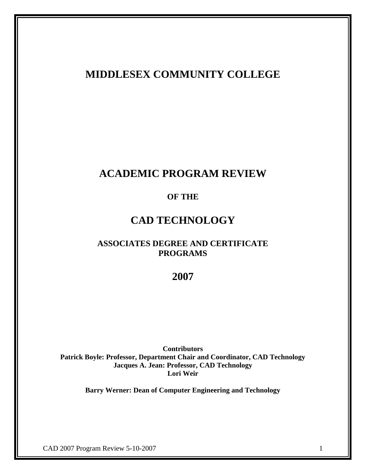## **MIDDLESEX COMMUNITY COLLEGE**

# **ACADEMIC PROGRAM REVIEW**

## **OF THE**

# **CAD TECHNOLOGY**

## **ASSOCIATES DEGREE AND CERTIFICATE PROGRAMS**

## **2007**

**Contributors Patrick Boyle: Professor, Department Chair and Coordinator, CAD Technology Jacques A. Jean: Professor, CAD Technology Lori Weir**

**Barry Werner: Dean of Computer Engineering and Technology**

CAD 2007 Program Review 5-10-2007 1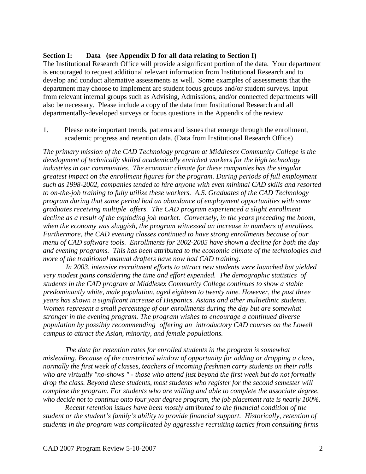#### **Section I: Data (see Appendix D for all data relating to Section I)**

The Institutional Research Office will provide a significant portion of the data. Your department is encouraged to request additional relevant information from Institutional Research and to develop and conduct alternative assessments as well. Some examples of assessments that the department may choose to implement are student focus groups and/or student surveys. Input from relevant internal groups such as Advising, Admissions, and/or connected departments will also be necessary. Please include a copy of the data from Institutional Research and all departmentally-developed surveys or focus questions in the Appendix of the review.

1. Please note important trends, patterns and issues that emerge through the enrollment, academic progress and retention data. (Data from Institutional Research Office)

*The primary mission of the CAD Technology program at Middlesex Community College is the development of technically skilled academically enriched workers for the high technology industries in our communities. The economic climate for these companies has the singular greatest impact on the enrollment figures for the program. During periods of full employment such as 1998-2002, companies tended to hire anyone with even minimal CAD skills and resorted to on-the-job training to fully utilize these workers. A.S. Graduates of the CAD Technology program during that same period had an abundance of employment opportunities with some graduates receiving multiple offers. The CAD program experienced a slight enrollment decline as a result of the exploding job market. Conversely, in the years preceding the boom, when the economy was sluggish, the program witnessed an increase in numbers of enrollees. Furthermore, the CAD evening classes continued to have strong enrollments because of our menu of CAD software tools. Enrollments for 2002-2005 have shown a decline for both the day and evening programs. This has been attributed to the economic climate of the technologies and more of the traditional manual drafters have now had CAD training.* 

*In 2003, intensive recruitment efforts to attract new students were launched but yielded very modest gains considering the time and effort expended. The demographic statistics of students in the CAD program at Middlesex Community College continues to show a stable predominantly white, male population, aged eighteen to twenty nine. However, the past three years has shown a significant increase of Hispanics. Asians and other multiethnic students. Women represent a small percentage of our enrollments during the day but are somewhat stronger in the evening program. The program wishes to encourage a continued diverse population by possibly recommending offering an introductory CAD courses on the Lowell campus to attract the Asian, minority, and female populations.*

*The data for retention rates for enrolled students in the program is somewhat misleading. Because of the constricted window of opportunity for adding or dropping a class, normally the first week of classes, teachers of incoming freshmen carry students on their rolls who are virtually "no-shows " - those who attend just beyond the first week but do not formally drop the class. Beyond these students, most students who register for the second semester will complete the program. For students who are willing and able to complete the associate degree, who decide not to continue onto four year degree program, the job placement rate is nearly 100%.*

*Recent retention issues have been mostly attributed to the financial condition of the student or the student's family's ability to provide financial support. Historically, retention of students in the program was complicated by aggressive recruiting tactics from consulting firms*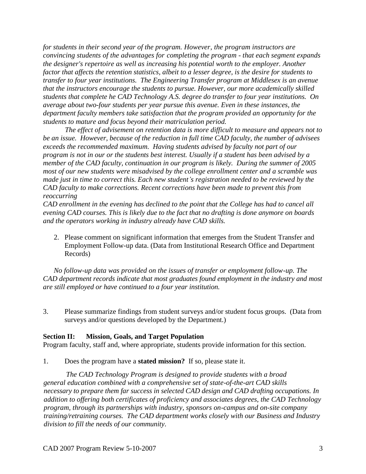*for students in their second year of the program. However, the program instructors are convincing students of the advantages for completing the program - that each segment expands the designer's repertoire as well as increasing his potential worth to the employer. Another factor that affects the retention statistics, albeit to a lesser degree, is the desire for students to transfer to four year institutions. The Engineering Transfer program at Middlesex is an avenue that the instructors encourage the students to pursue. However, our more academically skilled students that complete he CAD Technology A.S. degree do transfer to four year institutions. On average about two-four students per year pursue this avenue. Even in these instances, the department faculty members take satisfaction that the program provided an opportunity for the students to mature and focus beyond their matriculation period.*

*The effect of advisement on retention data is more difficult to measure and appears not to be an issue. However, because of the reduction in full time CAD faculty, the number of advisees exceeds the recommended maximum. Having students advised by faculty not part of our program is not in our or the students best interest. Usually if a student has been advised by a member of the CAD faculty, continuation in our program is likely. During the summer of 2005 most of our new students were misadvised by the college enrollment center and a scramble was made just in time to correct this. Each new student's registration needed to be reviewed by the CAD faculty to make corrections. Recent corrections have been made to prevent this from reoccurring*

*CAD enrollment in the evening has declined to the point that the College has had to cancel all evening CAD courses. This is likely due to the fact that no drafting is done anymore on boards and the operators working in industry already have CAD skills.* 

2. Please comment on significant information that emerges from the Student Transfer and Employment Follow-up data. (Data from Institutional Research Office and Department Records)

*No follow-up data was provided on the issues of transfer or employment follow-up. The CAD department records indicate that most graduates found employment in the industry and most are still employed or have continued to a four year institution.* 

3. Please summarize findings from student surveys and/or student focus groups. (Data from surveys and/or questions developed by the Department.)

#### **Section II: Mission, Goals, and Target Population**

Program faculty, staff and, where appropriate, students provide information for this section.

1. Does the program have a **stated mission?** If so, please state it.

*The CAD Technology Program is designed to provide students with a broad general education combined with a comprehensive set of state-of-the-art CAD skills necessary to prepare them far success in selected CAD design and CAD drafting occupations. In addition to offering both certificates of proficiency and associates degrees, the CAD Technology program, through its partnerships with industry, sponsors on-campus and on-site company training/retraining courses. The CAD department works closely with our Business and Industry division to fill the needs of our community*.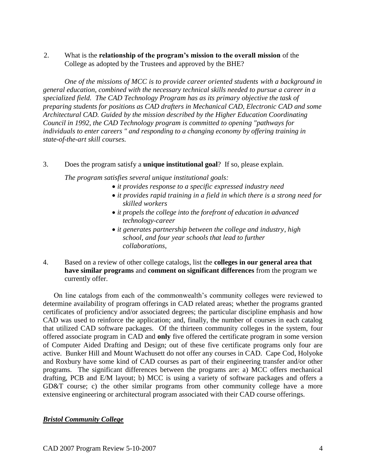2. What is the **relationship of the program's mission to the overall mission** of the College as adopted by the Trustees and approved by the BHE?

*One of the missions of MCC is to provide career oriented students with a background in general education, combined with the necessary technical skills needed to pursue a career in a specialized field. The CAD Technology Program has as its primary objective the task of preparing students for positions as CAD drafters in Mechanical CAD, Electronic CAD and some Architectural CAD. Guided by the mission described by the Higher Education Coordinating Council in 1992, the CAD Technology program is committed to opening "pathways for individuals to enter careers " and responding to a changing economy by offering training in state-of-the-art skill courses.* 

#### 3. Does the program satisfy a **unique institutional goal**? If so, please explain.

*The program satisfies several unique institutional goals:*

- *it provides response to a specific expressed industry need*
- *it provides rapid training in a field in which there is a strong need for skilled workers*
- *it propels the college into the forefront of education in advanced technology-career*
- *it generates partnership between the college and industry, high school, and four year schools that lead to further collaborations,*
- 4. Based on a review of other college catalogs, list the **colleges in our general area that have similar programs** and **comment on significant differences** from the program we currently offer.

On line catalogs from each of the commonwealth's community colleges were reviewed to determine availability of program offerings in CAD related areas; whether the programs granted certificates of proficiency and/or associated degrees; the particular discipline emphasis and how CAD was used to reinforce the application; and, finally, the number of courses in each catalog that utilized CAD software packages. Of the thirteen community colleges in the system, four offered associate program in CAD and **only** five offered the certificate program in some version of Computer Aided Drafting and Design; out of these five certificate programs only four are active. Bunker Hill and Mount Wachusett do not offer any courses in CAD. Cape Cod, Holyoke and Roxbury have some kind of CAD courses as part of their engineering transfer and/or other programs. The significant differences between the programs are: a) MCC offers mechanical drafting, PCB and E/M layout; b) MCC is using a variety of software packages and offers a GD&T course; c) the other similar programs from other community college have a more extensive engineering or architectural program associated with their CAD course offerings.

#### *Bristol Community College*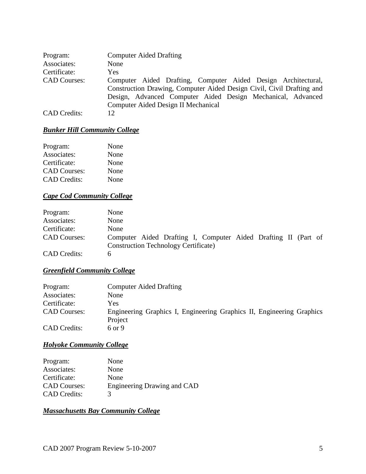| Program:            | <b>Computer Aided Drafting</b>                                        |
|---------------------|-----------------------------------------------------------------------|
| Associates:         | None                                                                  |
| Certificate:        | Yes.                                                                  |
| <b>CAD Courses:</b> | Computer Aided Drafting, Computer Aided Design Architectural,         |
|                     | Construction Drawing, Computer Aided Design Civil, Civil Drafting and |
|                     | Design, Advanced Computer Aided Design Mechanical, Advanced           |
|                     | Computer Aided Design II Mechanical                                   |
| <b>CAD</b> Credits: | 12.                                                                   |

### *Bunker Hill Community College*

| None |
|------|
| None |
| None |
| None |
| None |
|      |

### *Cape Cod Community College*

| Program:            | None                                                           |
|---------------------|----------------------------------------------------------------|
| Associates:         | None                                                           |
| Certificate:        | None                                                           |
| <b>CAD Courses:</b> | Computer Aided Drafting I, Computer Aided Drafting II (Part of |
|                     | <b>Construction Technology Certificate</b> )                   |
| <b>CAD</b> Credits: |                                                                |

## *Greenfield Community College*

| <b>Computer Aided Drafting</b>                                        |
|-----------------------------------------------------------------------|
|                                                                       |
|                                                                       |
| Engineering Graphics I, Engineering Graphics II, Engineering Graphics |
|                                                                       |
|                                                                       |

## *Holyoke Community College*

Program: None Associates: None Certificate: None CAD Courses: Engineering Drawing and CAD CAD Credits: 3

### *Massachusetts Bay Community College*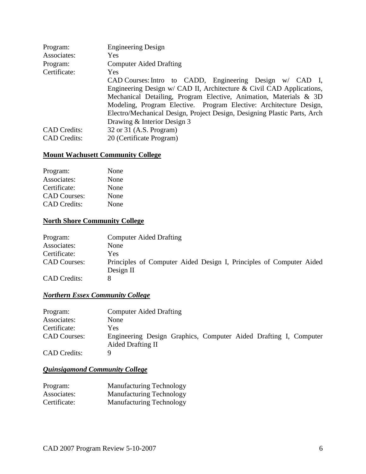| Program:            | <b>Engineering Design</b>                                                |
|---------------------|--------------------------------------------------------------------------|
| Associates:         | <b>Yes</b>                                                               |
| Program:            | <b>Computer Aided Drafting</b>                                           |
| Certificate:        | <b>Yes</b>                                                               |
|                     | CAD Courses: Intro to CADD, Engineering Design w/ CAD I,                 |
|                     | Engineering Design w/ CAD II, Architecture & Civil CAD Applications,     |
|                     | Mechanical Detailing, Program Elective, Animation, Materials & 3D        |
|                     | Modeling, Program Elective. Program Elective: Architecture Design,       |
|                     | Electro/Mechanical Design, Project Design, Designing Plastic Parts, Arch |
|                     | Drawing & Interior Design 3                                              |
| <b>CAD</b> Credits: | 32 or 31 (A.S. Program)                                                  |
| <b>CAD</b> Credits: | 20 (Certificate Program)                                                 |

### **Mount Wachusett Community College**

| Program:            | None |
|---------------------|------|
| Associates:         | None |
| Certificate:        | None |
| <b>CAD</b> Courses: | None |
| <b>CAD</b> Credits: | None |

## **North Shore Community College**

| Program:            | <b>Computer Aided Drafting</b>                                      |
|---------------------|---------------------------------------------------------------------|
| Associates:         | None                                                                |
| Certificate:        | Yes.                                                                |
| <b>CAD Courses:</b> | Principles of Computer Aided Design I, Principles of Computer Aided |
|                     | Design II                                                           |
| <b>CAD</b> Credits: |                                                                     |

## *Northern Essex Community College*

| Program:            | <b>Computer Aided Drafting</b>                                                        |
|---------------------|---------------------------------------------------------------------------------------|
| Associates:         | None                                                                                  |
| Certificate:        | Yes                                                                                   |
| <b>CAD Courses:</b> | Engineering Design Graphics, Computer Aided Drafting I, Computer<br>Aided Drafting II |
| <b>CAD</b> Credits: | Q                                                                                     |

## *Quinsigamond Community College*

| Program:     | <b>Manufacturing Technology</b> |
|--------------|---------------------------------|
| Associates:  | <b>Manufacturing Technology</b> |
| Certificate: | <b>Manufacturing Technology</b> |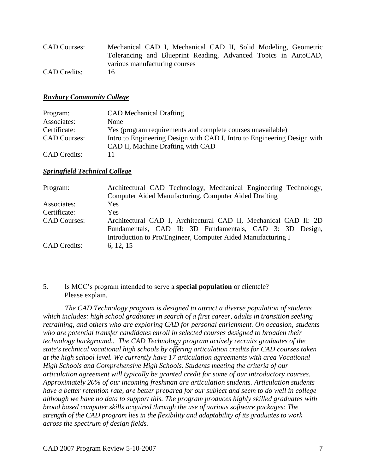| <b>CAD Courses:</b> | Mechanical CAD I, Mechanical CAD II, Solid Modeling, Geometric |
|---------------------|----------------------------------------------------------------|
|                     | Tolerancing and Blueprint Reading, Advanced Topics in AutoCAD, |
|                     | various manufacturing courses                                  |
| <b>CAD</b> Credits: | 16                                                             |

#### *Roxbury Community College*

| Program:            | <b>CAD</b> Mechanical Drafting                                                                                |
|---------------------|---------------------------------------------------------------------------------------------------------------|
| Associates:         | <b>None</b>                                                                                                   |
| Certificate:        | Yes (program requirements and complete courses unavailable)                                                   |
| <b>CAD Courses:</b> | Intro to Engineering Design with CAD I, Intro to Engineering Design with<br>CAD II, Machine Drafting with CAD |
| <b>CAD</b> Credits: | 11                                                                                                            |

#### *Springfield Technical College*

| Program:            | Architectural CAD Technology, Mechanical Engineering Technology, |
|---------------------|------------------------------------------------------------------|
|                     | Computer Aided Manufacturing, Computer Aided Drafting            |
| Associates:         | Yes                                                              |
| Certificate:        | <b>Yes</b>                                                       |
| <b>CAD Courses:</b> | Architectural CAD I, Architectural CAD II, Mechanical CAD II: 2D |
|                     | Fundamentals, CAD II: 3D Fundamentals, CAD 3: 3D Design,         |
|                     | Introduction to Pro/Engineer, Computer Aided Manufacturing I     |
| <b>CAD</b> Credits: | 6, 12, 15                                                        |

### 5. Is MCC's program intended to serve a **special population** or clientele? Please explain.

*The CAD Technology program is designed to attract a diverse population of students which includes: high school graduates in search of a first career, adults in transition seeking retraining, and others who are exploring CAD for personal enrichment. On occasion, students who are potential transfer candidates enroll in selected courses designed to broaden their technology background.. The CAD Technology program actively recruits graduates of the state's technical vocational high schools by offering articulation credits for CAD courses taken at the high school level. We currently have 17 articulation agreements with area Vocational High Schools and Comprehensive High Schools. Students meeting the criteria of our articulation agreement will typically be granted credit for some of our introductory courses. Approximately 20% of our incoming freshman are articulation students. Articulation students have a better retention rate, are better prepared for our subject and seem to do well in college although we have no data to support this. The program produces highly skilled graduates with broad based computer skills acquired through the use of various software packages: The strength of the CAD program lies in the flexibility and adaptability of its graduates to work across the spectrum of design fields.*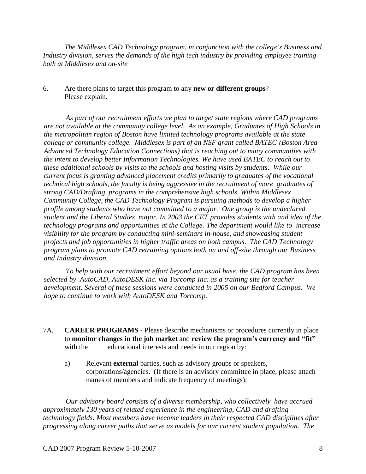*The Middlesex CAD Technology program, in conjunction with the college's Business and Industry division, serves the demands of the high tech industry by providing employee training both at Middlesex and on-site*

6. Are there plans to target this program to any **new or different groups**? Please explain.

*As part of our recruitment efforts we plan to target state regions where CAD programs are not available at the community college level. As an example, Graduates of High Schools in the metropolitan region of Boston have limited technology programs available at the state college or community college. Middlesex is part of an NSF grant called BATEC (Boston Area Advanced Technology Education Connections) that is reaching out to many communities with the intent to develop better Information Technologies. We have used BATEC to reach out to these additional schools by visits to the schools and hosting visits by students. While our current focus is granting advanced placement credits primarily to graduates of the vocational technical high schools, the faculty is being aggressive in the recruitment of more graduates of strong CAD/Drafting programs in the comprehensive high schools. Within Middlesex Community College, the CAD Technology Program is pursuing methods to develop a higher profile among students who have not committed to a major. One group is the undeclared student and the Liberal Studies major. In 2003 the CET provides students with and idea of the technology programs and opportunities at the College. The department would like to increase visibility for the program by conducting mini-seminars in-house, and showcasing student projects and job opportunities in higher traffic areas on both campus. The CAD Technology program plans to promote CAD retraining options both on and off-site through our Business and Industry division.*

*To help with our recruitment effort beyond our usual base, the CAD program has been selected by AutoCAD, AutoDESK Inc. via Torcomp Inc. as a training site for teacher development. Several of these sessions were conducted in 2005 on our Bedford Campus. We hope to continue to work with AutoDESK and Torcomp.* 

- 7A. **CAREER PROGRAMS** Please describe mechanisms or procedures currently in place to **monitor changes in the job market** and **review the program's currency and "fit"** with the educational interests and needs in our region by:
	- a) Relevant **external** parties, such as advisory groups or speakers, corporations/agencies. (If there is an advisory committee in place, please attach names of members and indicate frequency of meetings);

*Our advisory board consists of a diverse membership, who collectively have accrued approximately 130 years of related experience in the engineering, CAD and drafting technology fields. Most members have become leaders in their respected CAD disciplines after progressing along career paths that serve as models for our current student population. The*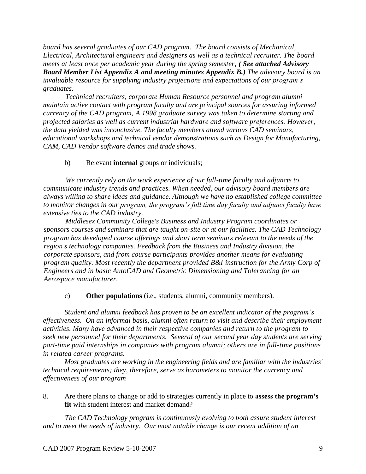*board has several graduates of our CAD program. The board consists of Mechanical, Electrical, Architectural engineers and designers as well as a technical recruiter. The board meets at least once per academic year during the spring semester, ( See attached Advisory Board Member List Appendix A and meeting minutes Appendix B.) The advisory board is an invaluable resource for supplying industry projections and expectations of our program's graduates.*

*Technical recruiters, corporate Human Resource personnel and program alumni maintain active contact with program faculty and are principal sources for assuring informed currency of the CAD program, A 1998 graduate survey was taken to determine starting and projected salaries as well as current industrial hardware and software preferences. However, the data yielded was inconclusive. The faculty members attend various CAD seminars, educational workshops and technical vendor demonstrations such as Design for Manufacturing, CAM, CAD Vendor software demos and trade shows.*

b) Relevant **internal** groups or individuals;

*We currently rely on the work experience of our full-time faculty and adjuncts to communicate industry trends and practices. When needed, our advisory board members are always willing to share ideas and guidance. Although we have no established college committee to monitor changes in our program, the program's full time day faculty and adjunct faculty have extensive ties to the CAD industry.* 

*Middlesex Community College's Business and Industry Program coordinates or sponsors courses and seminars that are taught on-site or at our facilities. The CAD Technology program has developed course offerings and short term seminars relevant to the needs of the region s technology companies. Feedback from the Business and Industry division, the corporate sponsors, and from course participants provides another means for evaluating program quality. Most recently the department provided B&I instruction for the Army Corp of Engineers and in basic AutoCAD and Geometric Dimensioning and Tolerancing for an Aerospace manufacturer.*

c) **Other populations** (i.e., students, alumni, community members).

*Student and alumni feedback has proven to be an excellent indicator of the program's effectiveness. On an informal basis, alumni often return to visit and describe their employment activities. Many have advanced in their respective companies and return to the program to seek new personnel for their departments. Several of our second year day students are serving part-time paid internships in companies with program alumni; others are in full-time positions in related career programs.* 

*Most graduates are working in the engineering fields and are familiar with the industries' technical requirements; they, therefore, serve as barometers to monitor the currency and effectiveness of our program*

8. Are there plans to change or add to strategies currently in place to **assess the program's fit** with student interest and market demand?

*The CAD Technology program is continuously evolving to both assure student interest and to meet the needs of industry. Our most notable change is our recent addition of an*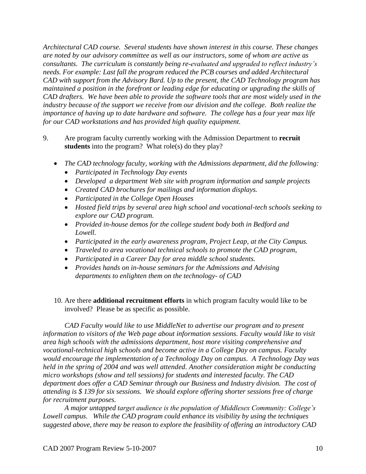*Architectural CAD course. Several students have shown interest in this course. These changes are noted by our advisory committee as well as our instructors, some of whom are active as consultants. The curriculum is constantly being re-evaluated and upgraded to reflect industry's needs. For example: Last fall the program reduced the PCB courses and added Architectural CAD with support from the Advisory Bard. Up to the present, the CAD Technology program has maintained a position in the forefront or leading edge for educating or upgrading the skills of CAD drafters. We have been able to provide the software tools that are most widely used in the industry because of the support we receive from our division and the college. Both realize the importance of having up to date hardware and software. The college has a four year max life for our CAD workstations and has provided high quality equipment.* 

- 9. Are program faculty currently working with the Admission Department to **recruit**  students into the program? What role(s) do they play?
	- *The CAD technology faculty, working with the Admissions department, did the following:*
		- *Participated in Technology Day events*
		- *Developed a department Web site with program information and sample projects*
		- *Created CAD brochures for mailings and information displays.*
		- *Participated in the College Open Houses*
		- *Hosted field trips by several area high school and vocational-tech schools seeking to explore our CAD program.*
		- *Provided in-house demos for the college student body both in Bedford and Lowell.*
		- *Participated in the early awareness program, Project Leap, at the City Campus.*
		- *Traveled to area vocational technical schools to promote the CAD program,*
		- *Participated in a Career Day for area middle school students.*
		- *Provides hands on in-house seminars for the Admissions and Advising departments to enlighten them on the technology- of CAD*
	- 10. Are there **additional recruitment efforts** in which program faculty would like to be involved? Please be as specific as possible.

*CAD Faculty would like to use MiddleNet to advertise our program and to present information to visitors of the Web page about information sessions. Faculty would like to visit area high schools with the admissions department, host more visiting comprehensive and vocational-technical high schools and become active in a College Day on campus. Faculty would encourage the implementation of a Technology Day on campus. A Technology Day was held in the spring of 2004 and was well attended. Another consideration might be conducting micro workshops (show and tell sessions) for students and interested faculty. The CAD department does offer a CAD Seminar through our Business and Industry division. The cost of attending is \$ 139 for six sessions. We should explore offering shorter sessions free of charge for recruitment purposes.* 

*A major untapped target audience is the population of Middlesex Community: College's Lowell campus. While the CAD program could enhance its visibility by using the techniques suggested above, there may be reason to explore the feasibility of offering an introductory CAD*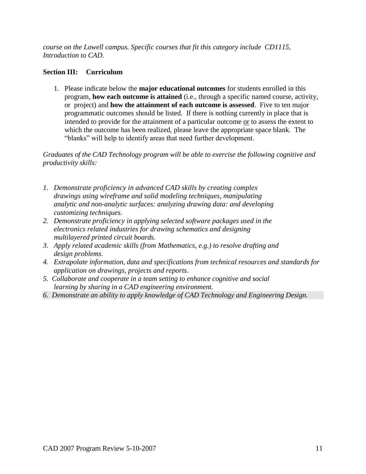*course on the Lowell campus. Specific courses that fit this category include CD1115, Introduction to CAD.* 

### **Section III: Curriculum**

1. Please indicate below the **major educational outcomes** for students enrolled in this program, **how each outcome is attained** (i.e., through a specific named course, activity, or project) and **how the attainment of each outcome is assessed**. Five to ten major programmatic outcomes should be listed. If there is nothing currently in place that is intended to provide for the attainment of a particular outcome or to assess the extent to which the outcome has been realized, please leave the appropriate space blank. The "blanks" will help to identify areas that need further development.

*Graduates of the CAD Technology program will be able to exercise the following cognitive and productivity skills:*

- *1. Demonstrate proficiency in advanced CAD skills by creating complex drawings using wireframe and solid modeling techniques, manipulating analytic and non-analytic surfaces: analyzing drawing data: and developing customizing techniques.*
- *2. Demonstrate proficiency in applying selected software packages used in the electronics related industries for drawing schematics and designing multilayered printed circuit boards.*
- *3. Apply related academic skills (from Mathematics, e.g.) to resolve drafting and design problems.*
- *4. Extrapolate information, data and specifications from technical resources and standards for application on drawings, projects and reports.*
- *5. Collaborate and cooperate in a team setting to enhance cognitive and social learning by sharing in a CAD engineering environment.*
- *6. Demonstrate an ability to apply knowledge of CAD Technology and Engineering Design.*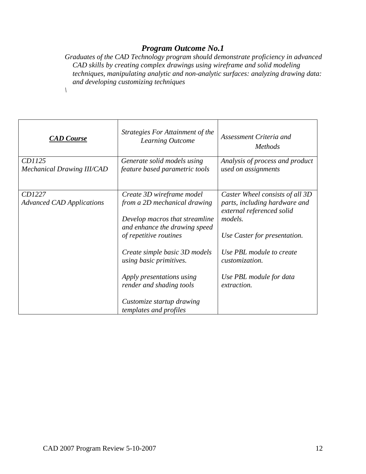*Graduates of the CAD Technology program should demonstrate proficiency in advanced CAD skills by creating complex drawings using wireframe and solid modeling techniques, manipulating analytic and non-analytic surfaces: analyzing drawing data: and developing customizing techniques*

| <b>CAD Course</b>                           | Strategies For Attainment of the<br>Learning Outcome                                                                                                                                                                                                                                                                               | Assessment Criteria and<br><i>Methods</i>                                                                                                                                                                                               |
|---------------------------------------------|------------------------------------------------------------------------------------------------------------------------------------------------------------------------------------------------------------------------------------------------------------------------------------------------------------------------------------|-----------------------------------------------------------------------------------------------------------------------------------------------------------------------------------------------------------------------------------------|
| CD1125<br><b>Mechanical Drawing III/CAD</b> | Generate solid models using<br>feature based parametric tools                                                                                                                                                                                                                                                                      | Analysis of process and product<br>used on assignments                                                                                                                                                                                  |
| CD1227<br><b>Advanced CAD Applications</b>  | Create 3D wireframe model<br>from a 2D mechanical drawing<br>Develop macros that streamline<br>and enhance the drawing speed<br>of repetitive routines<br>Create simple basic 3D models<br>using basic primitives.<br>Apply presentations using<br>render and shading tools<br>Customize startup drawing<br>templates and profiles | Caster Wheel consists of all 3D<br>parts, including hardware and<br>external referenced solid<br>models.<br>Use Caster for presentation.<br>Use PBL module to create<br>customization.<br>Use PBL module for data<br><i>extraction.</i> |

*\*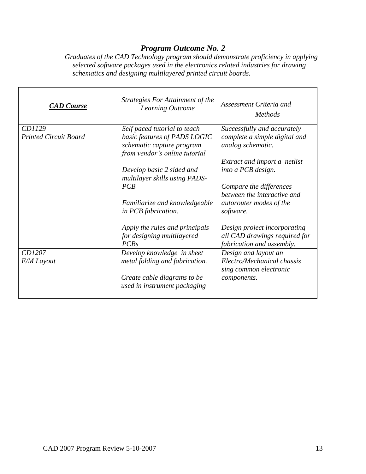*Graduates of the CAD Technology program should demonstrate proficiency in applying selected software packages used in the electronics related industries for drawing schematics and designing multilayered printed circuit boards.*

| <b>CAD</b> Course            | Strategies For Attainment of the<br>Learning Outcome                 | Assessment Criteria and<br><i>Methods</i>                                                  |
|------------------------------|----------------------------------------------------------------------|--------------------------------------------------------------------------------------------|
| CD1129                       | Self paced tutorial to teach                                         | Successfully and accurately                                                                |
| <b>Printed Circuit Board</b> | basic features of PADS LOGIC                                         | complete a simple digital and                                                              |
|                              | schematic capture program<br>from vendor's online tutorial           | analog schematic.                                                                          |
|                              |                                                                      | Extract and import a netlist                                                               |
|                              | Develop basic 2 sided and<br>multilayer skills using PADS-           | into a PCB design.                                                                         |
|                              | PCB                                                                  | Compare the differences<br>between the interactive and                                     |
|                              | Familiarize and knowledgeable<br>in PCB fabrication.                 | autorouter modes of the<br>software.                                                       |
|                              | Apply the rules and principals<br>for designing multilayered<br>PCBs | Design project incorporating<br>all CAD drawings required for<br>fabrication and assembly. |
| CD1207                       | Develop knowledge in sheet                                           | Design and layout an                                                                       |
| E/M Layout                   | metal folding and fabrication.                                       | Electro/Mechanical chassis<br>sing common electronic                                       |
|                              | Create cable diagrams to be<br>used in instrument packaging          | components.                                                                                |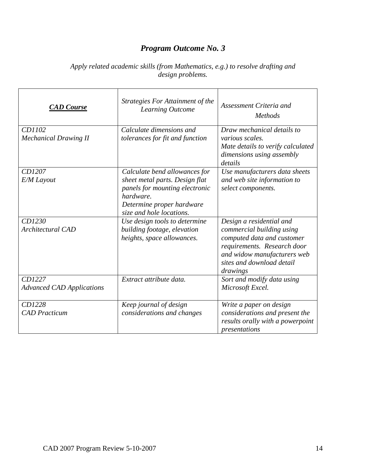| Apply related academic skills (from Mathematics, e.g.) to resolve drafting and |  |
|--------------------------------------------------------------------------------|--|
| <i>design problems.</i>                                                        |  |

| <b>CAD</b> Course                          | Strategies For Attainment of the<br>Learning Outcome                                                                                                                    | Assessment Criteria and<br><b>Methods</b>                                                                                                                                                  |
|--------------------------------------------|-------------------------------------------------------------------------------------------------------------------------------------------------------------------------|--------------------------------------------------------------------------------------------------------------------------------------------------------------------------------------------|
| CD1102<br><b>Mechanical Drawing II</b>     | Calculate dimensions and<br>tolerances for fit and function                                                                                                             | Draw mechanical details to<br>various scales.<br>Mate details to verify calculated<br>dimensions using assembly<br>details                                                                 |
| CD1207<br>E/M Layout                       | Calculate bend allowances for<br>sheet metal parts. Design flat<br>panels for mounting electronic<br>hardware.<br>Determine proper hardware<br>size and hole locations. | Use manufacturers data sheets<br>and web site information to<br>select components.                                                                                                         |
| CD1230<br><b>Architectural CAD</b>         | Use design tools to determine<br>building footage, elevation<br>heights, space allowances.                                                                              | Design a residential and<br>commercial building using<br>computed data and customer<br>requirements. Research door<br>and widow manufacturers web<br>sites and download detail<br>drawings |
| CD1227<br><b>Advanced CAD Applications</b> | Extract attribute data.                                                                                                                                                 | Sort and modify data using<br>Microsoft Excel.                                                                                                                                             |
| CD1228<br><b>CAD</b> Practicum             | Keep journal of design<br>considerations and changes                                                                                                                    | Write a paper on design<br>considerations and present the<br>results orally with a powerpoint<br>presentations                                                                             |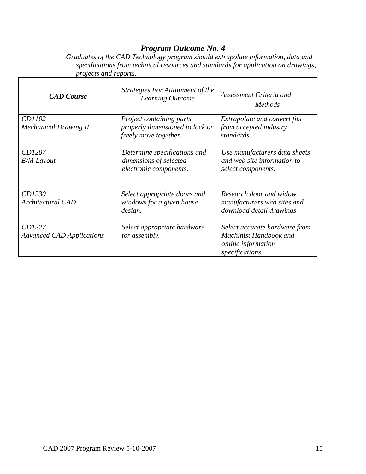*Graduates of the CAD Technology program should extrapolate information, data and specifications from technical resources and standards for application on drawings, projects and reports.*

| <b>CAD</b> Course                          | Strategies For Attainment of the<br>Learning Outcome                                 | Assessment Criteria and<br><i>Methods</i>                                                               |
|--------------------------------------------|--------------------------------------------------------------------------------------|---------------------------------------------------------------------------------------------------------|
| CD1102<br><b>Mechanical Drawing II</b>     | Project containing parts<br>properly dimensioned to lock or<br>freely move together. | Extrapolate and convert fits<br>from accepted industry<br>standards.                                    |
| CD1207<br>E/M Layout                       | Determine specifications and<br>dimensions of selected<br>electronic components.     | Use manufacturers data sheets<br>and web site information to<br>select components.                      |
| CD1230<br><b>Architectural CAD</b>         | Select appropriate doors and<br>windows for a given house<br>design.                 | Research door and widow<br>manufacturers web sites and<br>download detail drawings                      |
| CD1227<br><b>Advanced CAD Applications</b> | Select appropriate hardware<br>for assembly.                                         | Select accurate hardware from<br>Machinist Handbook and<br><i>online</i> information<br>specifications. |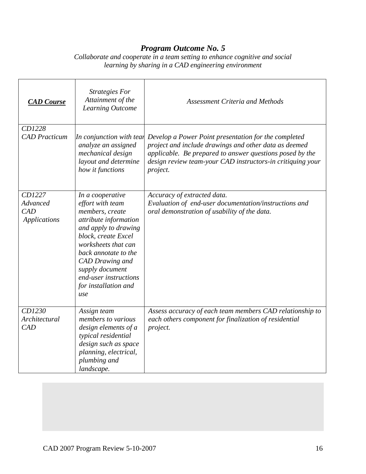*Collaborate and cooperate in a team setting to enhance cognitive and social learning by sharing in a CAD engineering environment*

| <b>CAD</b> Course                         | <b>Strategies For</b><br>Attainment of the<br>Learning Outcome                                                                                                                                                                                                               | <b>Assessment Criteria and Methods</b>                                                                                                                                                                                                              |
|-------------------------------------------|------------------------------------------------------------------------------------------------------------------------------------------------------------------------------------------------------------------------------------------------------------------------------|-----------------------------------------------------------------------------------------------------------------------------------------------------------------------------------------------------------------------------------------------------|
| CD1228<br><b>CAD</b> Practicum            | In conjunction with tear<br>analyze an assigned<br>mechanical design<br>layout and determine<br>how it functions                                                                                                                                                             | Develop a Power Point presentation for the completed<br>project and include drawings and other data as deemed<br>applicable. Be prepared to answer questions posed by the<br>design review team-your CAD instructors-in critiquing your<br>project. |
| CD1227<br>Advanced<br>CAD<br>Applications | In a cooperative<br>effort with team<br>members, create<br>attribute information<br>and apply to drawing<br>block, create Excel<br>worksheets that can<br>back annotate to the<br>CAD Drawing and<br>supply document<br>end-user instructions<br>for installation and<br>use | Accuracy of extracted data.<br>Evaluation of end-user documentation/instructions and<br>oral demonstration of usability of the data.                                                                                                                |
| CD1230<br>Architectural<br>CAD            | Assign team<br>members to various<br>design elements of a<br>typical residential<br>design such as space<br>planning, electrical,<br>plumbing and<br>landscape.                                                                                                              | Assess accuracy of each team members CAD relationship to<br>each others component for finalization of residential<br>project.                                                                                                                       |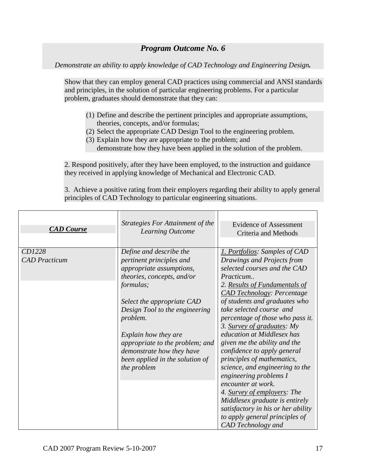*Demonstrate an ability to apply knowledge of CAD Technology and Engineering Design.*

Show that they can employ general CAD practices using commercial and ANSI standards and principles, in the solution of particular engineering problems. For a particular problem, graduates should demonstrate that they can:

- (1) Define and describe the pertinent principles and appropriate assumptions, theories, concepts, and/or formulas;
- (2) Select the appropriate CAD Design Tool to the engineering problem.
- (3) Explain how they are appropriate to the problem; and demonstrate how they have been applied in the solution of the problem.

2. Respond positively, after they have been employed, to the instruction and guidance they received in applying knowledge of Mechanical and Electronic CAD.

3. Achieve a positive rating from their employers regarding their ability to apply general principles of CAD Technology to particular engineering situations.

| <b>CAD</b> Course              | Strategies For Attainment of the<br><b>Learning Outcome</b>                                                                                                                                                                                                                                                                                      | <b>Evidence of Assessment</b><br>Criteria and Methods                                                                                                                                                                                                                                                                                                                                                                                                                                                                                                                                                                                                                                      |
|--------------------------------|--------------------------------------------------------------------------------------------------------------------------------------------------------------------------------------------------------------------------------------------------------------------------------------------------------------------------------------------------|--------------------------------------------------------------------------------------------------------------------------------------------------------------------------------------------------------------------------------------------------------------------------------------------------------------------------------------------------------------------------------------------------------------------------------------------------------------------------------------------------------------------------------------------------------------------------------------------------------------------------------------------------------------------------------------------|
| CD1228<br><b>CAD</b> Practicum | Define and describe the<br>pertinent principles and<br>appropriate assumptions,<br>theories, concepts, and/or<br>formulas;<br>Select the appropriate CAD<br>Design Tool to the engineering<br>problem.<br>Explain how they are<br>appropriate to the problem; and<br>demonstrate how they have<br>been applied in the solution of<br>the problem | 1. Portfolios: Samples of CAD<br>Drawings and Projects from<br>selected courses and the CAD<br>Practicum<br>2. Results of Fundamentals of<br><b>CAD Technology: Percentage</b><br>of students and graduates who<br>take selected course and<br>percentage of those who pass it.<br>3. Survey of graduates: My<br>education at Middlesex has<br>given me the ability and the<br>confidence to apply general<br>principles of mathematics,<br>science, and engineering to the<br>engineering problems I<br>encounter at work.<br>4. Survey of employers: The<br>Middlesex graduate is entirely<br>satisfactory in his or her ability<br>to apply general principles of<br>CAD Technology and |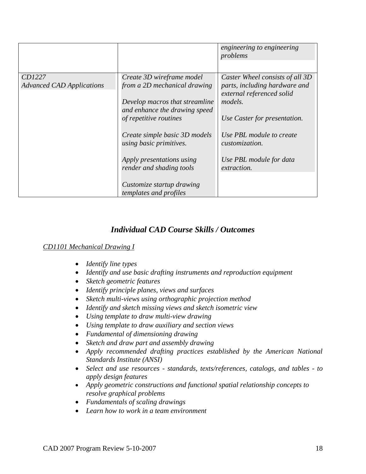|                                  |                                | engineering to engineering<br>problems |
|----------------------------------|--------------------------------|----------------------------------------|
|                                  |                                |                                        |
| CD1227                           | Create 3D wireframe model      | Caster Wheel consists of all 3D        |
| <b>Advanced CAD Applications</b> | from a 2D mechanical drawing   | parts, including hardware and          |
|                                  |                                | external referenced solid              |
|                                  | Develop macros that streamline | models.                                |
|                                  | and enhance the drawing speed  |                                        |
|                                  | of repetitive routines         | Use Caster for presentation.           |
|                                  |                                |                                        |
|                                  | Create simple basic 3D models  | Use PBL module to create               |
|                                  | using basic primitives.        | <i>customization.</i>                  |
|                                  |                                |                                        |
|                                  | Apply presentations using      | Use PBL module for data                |
|                                  | render and shading tools       | <i>extraction.</i>                     |
|                                  |                                |                                        |
|                                  | Customize startup drawing      |                                        |
|                                  | templates and profiles         |                                        |

## *Individual CAD Course Skills / Outcomes*

## *CD1101 Mechanical Drawing I*

- *Identify line types*
- *Identify and use basic drafting instruments and reproduction equipment*
- *Sketch geometric features*
- *Identify principle planes, views and surfaces*
- *Sketch multi-views using orthographic projection method*
- *Identify and sketch missing views and sketch isometric view*
- *Using template to draw multi-view drawing*
- *Using template to draw auxiliary and section views*
- *Fundamental of dimensioning drawing*
- *Sketch and draw part and assembly drawing*
- *Apply recommended drafting practices established by the American National Standards Institute (ANSI)*
- *Select and use resources - standards, texts/references, catalogs, and tables - to apply design features*
- *Apply geometric constructions and functional spatial relationship concepts to resolve graphical problems*
- *Fundamentals of scaling drawings*
- *Learn how to work in a team environment*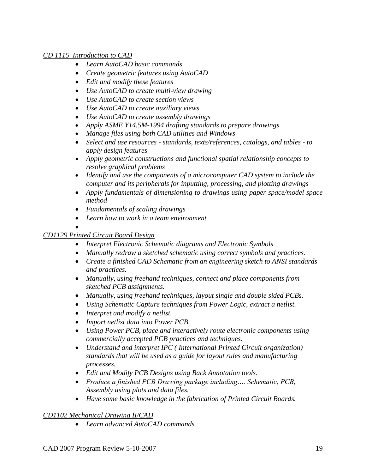## *CD 1115 Introduction to CAD*

- *Learn AutoCAD basic commands*
- *Create geometric features using AutoCAD*
- *Edit and modify these features*
- *Use AutoCAD to create multi-view drawing*
- *Use AutoCAD to create section views*
- *Use AutoCAD to create auxiliary views*
- *Use AutoCAD to create assembly drawings*
- *Apply ASME Y14.5M-1994 drafting standards to prepare drawings*
- *Manage files using both CAD utilities and Windows*
- *Select and use resources - standards, texts/references, catalogs, and tables - to apply design features*
- *Apply geometric constructions and functional spatial relationship concepts to resolve graphical problems*
- *Identify and use the components of a microcomputer CAD system to include the computer and its peripherals for inputting, processing, and plotting drawings*
- *Apply fundamentals of dimensioning to drawings using paper space/model space method*
- *Fundamentals of scaling drawings*
- *Learn how to work in a team environment*

#### $\bullet$ *CD1129 Printed Circuit Board Design*

- *Interpret Electronic Schematic diagrams and Electronic Symbols*
- *Manually redraw a sketched schematic using correct symbols and practices.*
- *Create a finished CAD Schematic from an engineering sketch to ANSI standards and practices.*
- *Manually, using freehand techniques, connect and place components from sketched PCB assignments.*
- *Manually, using freehand techniques, layout single and double sided PCBs.*
- *Using Schematic Capture techniques from Power Logic, extract a netlist.*
- *Interpret and modify a netlist.*
- *Import netlist data into Power PCB.*
- *Using Power PCB, place and interactively route electronic components using commercially accepted PCB practices and techniques.*
- *Understand and interpret IPC ( International Printed Circuit organization) standards that will be used as a guide for layout rules and manufacturing processes.*
- *Edit and Modify PCB Designs using Back Annotation tools.*
- *Produce a finished PCB Drawing package including…. Schematic, PCB, Assembly using plots and data files.*
- *Have some basic knowledge in the fabrication of Printed Circuit Boards.*

## *CD1102 Mechanical Drawing II/CAD*

*Learn advanced AutoCAD commands*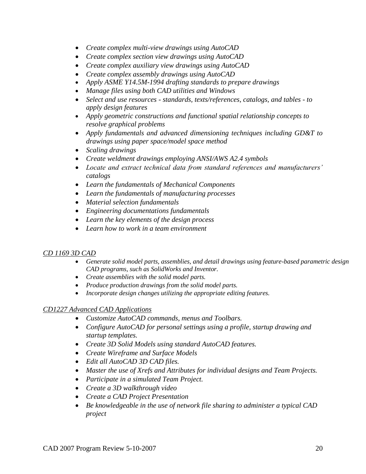- *Create complex multi-view drawings using AutoCAD*
- *Create complex section view drawings using AutoCAD*
- *Create complex auxiliary view drawings using AutoCAD*
- *Create complex assembly drawings using AutoCAD*
- *Apply ASME Y14.5M-1994 drafting standards to prepare drawings*
- *Manage files using both CAD utilities and Windows*
- *Select and use resources - standards, texts/references, catalogs, and tables - to apply design features*
- *Apply geometric constructions and functional spatial relationship concepts to resolve graphical problems*
- *Apply fundamentals and advanced dimensioning techniques including GD&T to drawings using paper space/model space method*
- *Scaling drawings*
- *Create weldment drawings employing ANSI/AWS A2.4 symbols*
- *Locate and extract technical data from standard references and manufacturers' catalogs*
- *Learn the fundamentals of Mechanical Components*
- *Learn the fundamentals of manufacturing processes*
- *Material selection fundamentals*
- *Engineering documentations fundamentals*
- *Learn the key elements of the design process*
- *Learn how to work in a team environment*

## *CD 1169 3D CAD*

- *Generate solid model parts, assemblies, and detail drawings using feature-based parametric design CAD programs, such as SolidWorks and Inventor.*
- *Create assemblies with the solid model parts.*
- *Produce production drawings from the solid model parts.*
- *Incorporate design changes utilizing the appropriate editing features.*

## *CD1227 Advanced CAD Applications*

- *Customize AutoCAD commands, menus and Toolbars.*
- *Configure AutoCAD for personal settings using a profile, startup drawing and startup templates.*
- *Create 3D Solid Models using standard AutoCAD features.*
- *Create Wireframe and Surface Models*
- *Edit all AutoCAD 3D CAD files.*
- *Master the use of Xrefs and Attributes for individual designs and Team Projects.*
- *Participate in a simulated Team Project.*
- *Create a 3D walkthrough video*
- *Create a CAD Project Presentation*
- *Be knowledgeable in the use of network file sharing to administer a typical CAD project*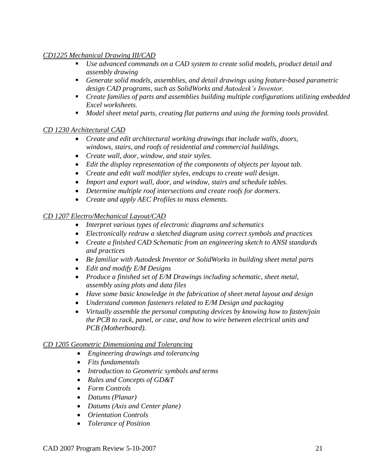## *CD1225 Mechanical Drawing III/CAD*

- *Use advanced commands on a CAD system to create solid models, product detail and assembly drawing*
- *Generate solid models, assemblies, and detail drawings using feature-based parametric design CAD programs, such as SolidWorks and Autodesk's Inventor.*
- *Create families of parts and assemblies building multiple configurations utilizing embedded Excel worksheets.*
- *Model sheet metal parts, creating flat patterns and using the forming tools provided.*

## *CD 1230 Architectural CAD*

- *Create and edit architectural working drawings that include walls, doors, windows, stairs, and roofs of residential and commercial buildings.*
- *Create wall, door, window, and stair styles.*
- *Edit the display representation of the components of objects per layout tab.*
- *Create and edit wall modifier styles, endcaps to create wall design.*
- *Import and export wall, door, and window, stairs and schedule tables.*
- *Determine multiple roof intersections and create roofs for dormers.*
- *Create and apply AEC Profiles to mass elements.*

## *CD 1207 Electro/Mechanical Layout/CAD*

- *Interpret various types of electronic diagrams and schematics*
- *Electronically redraw a sketched diagram using correct symbols and practices*
- *Create a finished CAD Schematic from an engineering sketch to ANSI standards and practices*
- *Be familiar with Autodesk Inventor or SolidWorks in building sheet metal parts*
- *Edit and modify E/M Designs*
- *Produce a finished set of E/M Drawings including schematic, sheet metal, assembly using plots and data files*
- *Have some basic knowledge in the fabrication of sheet metal layout and design*
- *Understand common fasteners related to E/M Design and packaging*
- *Virtually assemble the personal computing devices by knowing how to fasten/join the PCB to rack, panel, or case, and how to wire between electrical units and PCB (Motherboard).*

## *CD 1205 Geometric Dimensioning and Tolerancing*

- *Engineering drawings and tolerancing*
- *Fits fundamentals*
- *Introduction to Geometric symbols and terms*
- *Rules and Concepts of GD&T*
- *Form Controls*
- *Datums (Planar)*
- *Datums (Axis and Center plane)*
- *Orientation Controls*
- *Tolerance of Position*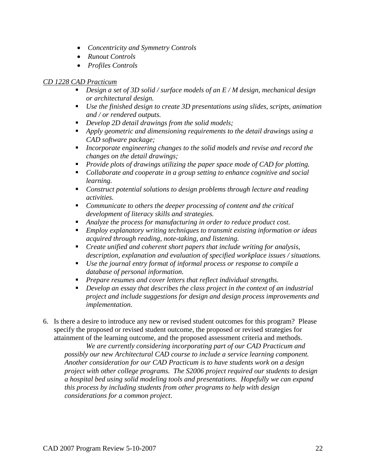- *Concentricity and Symmetry Controls*
- *Runout Controls*
- *Profiles Controls*

#### *CD 1228 CAD Practicum*

- *Design a set of 3D solid / surface models of an E / M design, mechanical design or architectural design.*
- *Use the finished design to create 3D presentations using slides, scripts, animation and / or rendered outputs.*
- *Develop 2D detail drawings from the solid models;*
- *Apply geometric and dimensioning requirements to the detail drawings using a CAD software package;*
- *Incorporate engineering changes to the solid models and revise and record the changes on the detail drawings;*
- *Provide plots of drawings utilizing the paper space mode of CAD for plotting.*
- *Collaborate and cooperate in a group setting to enhance cognitive and social learning.*
- *Construct potential solutions to design problems through lecture and reading activities.*
- *Communicate to others the deeper processing of content and the critical development of literacy skills and strategies.*
- *Analyze the process for manufacturing in order to reduce product cost.*
- *Employ explanatory writing techniques to transmit existing information or ideas acquired through reading, note-taking, and listening.*
- *Create unified and coherent short papers that include writing for analysis, description, explanation and evaluation of specified workplace issues / situations.*
- *Use the journal entry format of informal process or response to compile a database of personal information.*
- *Prepare resumes and cover letters that reflect individual strengths.*
- *Develop an essay that describes the class project in the context of an industrial project and include suggestions for design and design process improvements and implementation.*
- 6. Is there a desire to introduce any new or revised student outcomes for this program? Please specify the proposed or revised student outcome, the proposed or revised strategies for attainment of the learning outcome, and the proposed assessment criteria and methods.

*We are currently considering incorporating part of our CAD Practicum and possibly our new Architectural CAD course to include a service learning component. Another consideration for our CAD Practicum is to have students work on a design project with other college programs. The S2006 project required our students to design a hospital bed using solid modeling tools and presentations. Hopefully we can expand this process by including students from other programs to help with design considerations for a common project*.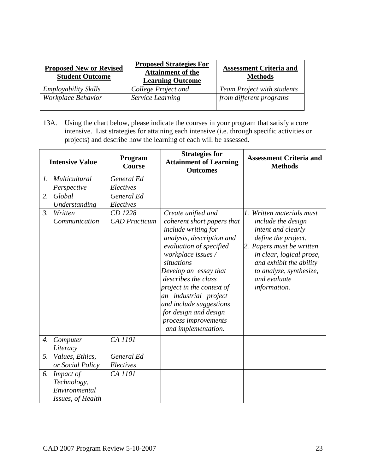| <b>Proposed New or Revised</b><br><b>Student Outcome</b> | <b>Proposed Strategies For</b><br><b>Attainment of the</b><br><b>Learning Outcome</b> | <b>Assessment Criteria and</b><br><b>Methods</b> |  |  |
|----------------------------------------------------------|---------------------------------------------------------------------------------------|--------------------------------------------------|--|--|
| <b>Employability Skills</b>                              | College Project and                                                                   | <b>Team Project with students</b>                |  |  |
| Workplace Behavior                                       | Service Learning                                                                      | from different programs                          |  |  |
|                                                          |                                                                                       |                                                  |  |  |

13A. Using the chart below, please indicate the courses in your program that satisfy a core intensive. List strategies for attaining each intensive (i.e. through specific activities or projects) and describe how the learning of each will be assessed.

| <b>Intensive Value</b> |                                                                | Program<br><b>Course</b>        | <b>Strategies for</b><br><b>Attainment of Learning</b><br><b>Outcomes</b>                                                                                                                                                                                                                                                                                                    | <b>Assessment Criteria and</b><br><b>Methods</b>                                                                                                                                                                                            |
|------------------------|----------------------------------------------------------------|---------------------------------|------------------------------------------------------------------------------------------------------------------------------------------------------------------------------------------------------------------------------------------------------------------------------------------------------------------------------------------------------------------------------|---------------------------------------------------------------------------------------------------------------------------------------------------------------------------------------------------------------------------------------------|
| $\mathfrak{l}.$        | Multicultural                                                  | General Ed                      |                                                                                                                                                                                                                                                                                                                                                                              |                                                                                                                                                                                                                                             |
|                        | Perspective                                                    | Electives                       |                                                                                                                                                                                                                                                                                                                                                                              |                                                                                                                                                                                                                                             |
| 2.                     | Global                                                         | General Ed                      |                                                                                                                                                                                                                                                                                                                                                                              |                                                                                                                                                                                                                                             |
|                        | Understanding                                                  | Electives                       |                                                                                                                                                                                                                                                                                                                                                                              |                                                                                                                                                                                                                                             |
| 3.                     | Written<br>Communication                                       | CD 1228<br><b>CAD</b> Practicum | Create unified and<br>coherent short papers that<br>include writing for<br>analysis, description and<br>evaluation of specified<br>workplace issues /<br>situations<br>Develop an essay that<br>describes the class<br>project in the context of<br>an industrial project<br>and include suggestions<br>for design and design<br>process improvements<br>and implementation. | 1. Written materials must<br>include the design<br>intent and clearly<br>define the project.<br>2. Papers must be written<br>in clear, logical prose,<br>and exhibit the ability<br>to analyze, synthesize,<br>and evaluate<br>information. |
| 4.                     | Computer<br>Literacy                                           | CA 1101                         |                                                                                                                                                                                                                                                                                                                                                                              |                                                                                                                                                                                                                                             |
| 5.                     | Values, Ethics,                                                | General Ed                      |                                                                                                                                                                                                                                                                                                                                                                              |                                                                                                                                                                                                                                             |
|                        | or Social Policy                                               | Electives                       |                                                                                                                                                                                                                                                                                                                                                                              |                                                                                                                                                                                                                                             |
| 6.                     | Impact of<br>Technology,<br>Environmental<br>Issues, of Health | CA 1101                         |                                                                                                                                                                                                                                                                                                                                                                              |                                                                                                                                                                                                                                             |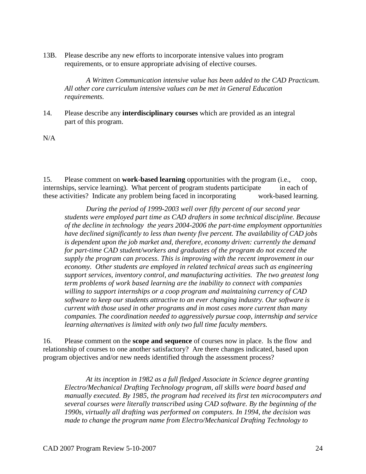13B. Please describe any new efforts to incorporate intensive values into program requirements, or to ensure appropriate advising of elective courses.

*A Written Communication intensive value has been added to the CAD Practicum. All other core curriculum intensive values can be met in General Education requirements.*

14. Please describe any **interdisciplinary courses** which are provided as an integral part of this program.

N/A

15. Please comment on **work-based learning** opportunities with the program (i.e., coop, internships, service learning). What percent of program students participate in each of these activities? Indicate any problem being faced in incorporating work-based learning.

*During the period of 1999-2003 well over fifty percent of our second year students were employed part time as CAD drafters in some technical discipline. Because of the decline in technology the years 2004-2006 the part-time employment opportunities have declined significantly to less than twenty five percent. The availability of CAD jobs is dependent upon the job market and, therefore, economy driven: currently the demand for part-time CAD student/workers and graduates of the program do not exceed the supply the program can process. This is improving with the recent improvement in our economy. Other students are employed in related technical areas such as engineering support services, inventory control, and manufacturing activities. The two greatest long term problems of work based learning are the inability to connect with companies willing to support internships or a coop program and maintaining currency of CAD software to keep our students attractive to an ever changing industry. Our software is current with those used in other programs and in most cases more current than many companies. The coordination needed to aggressively pursue coop, internship and service learning alternatives is limited with only two full time faculty members.*

16. Please comment on the **scope and sequence** of courses now in place. Is the flow and relationship of courses to one another satisfactory? Are there changes indicated, based upon program objectives and/or new needs identified through the assessment process?

*At its inception in 1982 as a full fledged Associate in Science degree granting Electro/Mechanical Drafting Technology program, all skills were board based and manually executed. By 1985, the program had received its first ten microcomputers and several courses were literally transcribed using CAD software. By the beginning of the 1990s, virtually all drafting was performed on computers. In 1994, the decision was made to change the program name from Electro/Mechanical Drafting Technology to*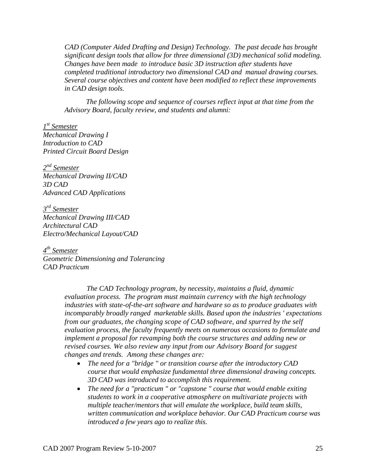*CAD (Computer Aided Drafting and Design) Technology. The past decade has brought significant design tools that allow for three dimensional (3D) mechanical solid modeling. Changes have been made to introduce basic 3D instruction after students have completed traditional introductory two dimensional CAD and manual drawing courses. Several course objectives and content have been modified to reflect these improvements in CAD design tools.*

*The following scope and sequence of courses reflect input at that time from the Advisory Board, faculty review, and students and alumni:*

*1 st Semester Mechanical Drawing I Introduction to CAD Printed Circuit Board Design*

*2 nd Semester Mechanical Drawing II/CAD 3D CAD Advanced CAD Applications*

*3 rd Semester Mechanical Drawing III/CAD Architectural CAD Electro/Mechanical Layout/CAD*

*4 th Semester Geometric Dimensioning and Tolerancing CAD Practicum*

> *The CAD Technology program, by necessity, maintains a fluid, dynamic evaluation process. The program must maintain currency with the high technology industries with state-of-the-art software and hardware so as to produce graduates with incomparably broadly ranged marketable skills. Based upon the industries ' expectations from our graduates, the changing scope of CAD software, and spurred by the self evaluation process, the faculty frequently meets on numerous occasions to formulate and implement a proposal for revamping both the course structures and adding new or revised courses. We also review any input from our Advisory Board for suggest changes and trends. Among these changes are:*

- *The need for a "bridge " or transition course after the introductory CAD course that would emphasize fundamental three dimensional drawing concepts. 3D CAD was introduced to accomplish this requirement.*
- *The need for a "practicum " or "capstone " course that would enable exiting students to work in a cooperative atmosphere on multivariate projects with multiple teacher/mentors that will emulate the workplace, build team skills, written communication and workplace behavior. Our CAD Practicum course was introduced a few years ago to realize this.*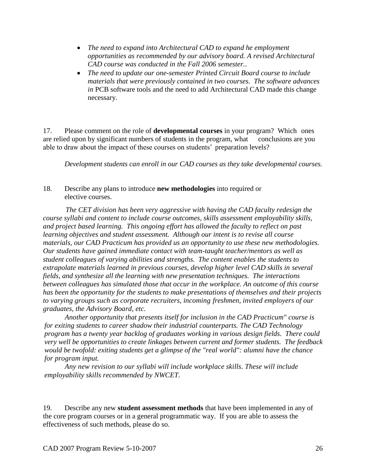- *The need to expand into Architectural CAD to expand he employment opportunities as recommended by our advisory board. A revised Architectural CAD course was conducted in the Fall 2006 semester..*
- *The need to update our one-semester Printed Circuit Board course to include materials that were previously contained in two courses. The software advances in* PCB software tools and the need to add Architectural CAD made this change necessary.

17. Please comment on the role of **developmental courses** in your program? Which ones are relied upon by significant numbers of students in the program, what conclusions are you able to draw about the impact of these courses on students' preparation levels?

*Development students can enroll in our CAD courses as they take developmental courses.* 

### 18. Describe any plans to introduce **new methodologies** into required or elective courses.

*The CET division has been very aggressive with having the CAD faculty redesign the course syllabi and content to include course outcomes, skills assessment employability skills, and project based learning. This ongoing effort has allowed the faculty to reflect on past learning objectives and student assessment. Although our intent is to revise all course materials, our CAD Practicum has provided us an opportunity to use these new methodologies. Our students have gained immediate contact with team-taught teacher/mentors as well as student colleagues of varying abilities and strengths. The content enables the students to extrapolate materials learned in previous courses, develop higher level CAD skills in several fields, and synthesize all the learning with new presentation techniques. The interactions between colleagues has simulated those that occur in the workplace. An outcome of this course has been the opportunity for the students to make presentations of themselves and their projects to varying groups such as corporate recruiters, incoming freshmen, invited employers of our graduates, the Advisory Board, etc.*

*Another opportunity that presents itself for inclusion in the CAD Practicum" course is for exiting students to career shadow their industrial counterparts. The CAD Technology program has a twenty year backlog of graduates working in various design fields. There could very well be opportunities to create linkages between current and former students. The feedback would be twofold: exiting students get a glimpse of the "real world": alumni have the chance for program input.*

*Any new revision to our syllabi will include workplace skills. These will include employability skills recommended by NWCET.*

19. Describe any new **student assessment methods** that have been implemented in any of the core program courses or in a general programmatic way. If you are able to assess the effectiveness of such methods, please do so.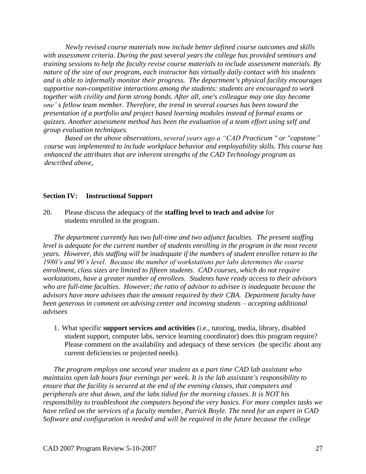*Newly revised course materials now include better defined course outcomes and skills with assessment criteria. During the past several years the college has provided seminars and training sessions to help the faculty revise course materials to include assessment materials. By nature of the size of our program, each instructor has virtually daily contact with his students and is able to informally monitor their progress. The department's physical facility encourages supportive non-competitive interactions among the students: students are encouraged to work together with civility and form strong bonds. After all, one's colleague may one day become one' s fellow team member. Therefore, the trend in several courses has been toward the presentation of a portfolio and project based learning modules instead of formal exams or quizzes. Another assessment method has been the evaluation of a team effort using self and group evaluation techniques.*

*Based on the above observations, several years ago a "CAD Practicum " or "capstone" course was implemented to include workplace behavior and employability skills. This course has enhanced the attributes that are inherent strengths of the CAD Technology program as described above,*

#### **Section IV: Instructional Support**

20. Please discuss the adequacy of the **staffing level to teach and advise** for students enrolled in the program.

*The department currently has two full-time and two adjunct faculties. The present staffing level is adequate for the current number of students enrolling in the program in the most recent years. However, this staffing will be inadequate if the numbers of student enrollee return to the 1980's and 90's level. Because the number of workstations per labs determines the course enrollment, class sizes are limited to fifteen students. CAD courses, which do not require workstations, have a greater number of enrollees. Students have ready access to their advisors who are full-time faculties. However; the ratio of advisor to advisee is inadequate because the advisors have more advisees than the amount required by their CBA. Department faculty have been generous in comment on advising center and incoming students – accepting additional advisees*

1. What specific **support services and activities** (i.e., tutoring, media, library, disabled student support, computer labs, service learning coordinator) does this program require? Please comment on the availability and adequacy of these services (be specific about any current deficiencies or projected needs).

*The program employs one second year student as a part time CAD lab assistant who maintains open lab hours four evenings per week. It is the lab assistant's responsibility to ensure that the facility is secured at the end of the evening classes, that computers and peripherals are shut down, and the labs tidied for the morning classes. It is NOT his responsibility to troubleshoot the computers beyond the very basics. For more complex tasks we have relied on the services of a faculty member, Patrick Boyle. The need for an expert in CAD Software and configuration is needed and will be required in the future because the college*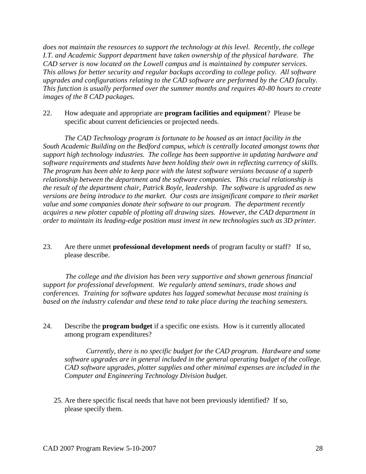*does not maintain the resources to support the technology at this level. Recently, the college I.T. and Academic Support department have taken ownership of the physical hardware. The CAD server is now located on the Lowell campus and is maintained by computer services. This allows for better security and regular backups according to college policy. All software upgrades and configurations relating to the CAD software are performed by the CAD faculty. This function is usually performed over the summer months and requires 40-80 hours to create images of the 8 CAD packages.*

22. How adequate and appropriate are **program facilities and equipment**? Please be specific about current deficiencies or projected needs.

*The CAD Technology program is fortunate to be housed as an intact facility in the South Academic Building on the Bedford campus, which is centrally located amongst towns that support high technology industries. The college has been supportive in updating hardware and software requirements and students have been holding their own in reflecting currency of skills. The program has been able to keep pace with the latest software versions because of a superb relationship between the department and the software companies. This crucial relationship is the result of the department chair, Patrick Boyle, leadership. The software is upgraded as new versions are being introduce to the market. Our costs are insignificant compare to their market value and some companies donate their software to our program. The department recently acquires a new plotter capable of plotting all drawing sizes. However, the CAD department in order to maintain its leading-edge position must invest in new technologies such as 3D printer.*

23. Are there unmet **professional development needs** of program faculty or staff? If so, please describe.

*The college and the division has been very supportive and shown generous financial support for professional development. We regularly attend seminars, trade shows and conferences. Training for software updates has lagged somewhat because most training is based on the industry calendar and these tend to take place during the teaching semesters.* 

24. Describe the **program budget** if a specific one exists. How is it currently allocated among program expenditures?

*Currently, there is no specific budget for the CAD program. Hardware and some software upgrades are in general included in the general operating budget of the college. CAD software upgrades, plotter supplies and other minimal expenses are included in the Computer and Engineering Technology Division budget.*

25. Are there specific fiscal needs that have not been previously identified? If so, please specify them.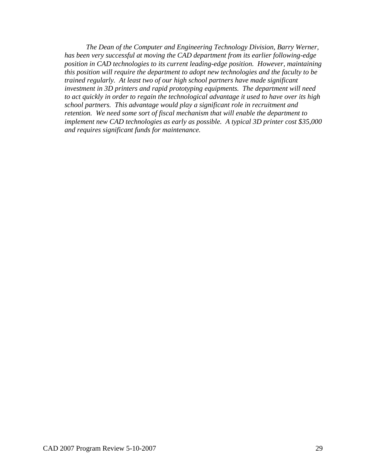*The Dean of the Computer and Engineering Technology Division, Barry Werner, has been very successful at moving the CAD department from its earlier following-edge position in CAD technologies to its current leading-edge position. However, maintaining this position will require the department to adopt new technologies and the faculty to be trained regularly. At least two of our high school partners have made significant investment in 3D printers and rapid prototyping equipments. The department will need to act quickly in order to regain the technological advantage it used to have over its high school partners. This advantage would play a significant role in recruitment and retention. We need some sort of fiscal mechanism that will enable the department to implement new CAD technologies as early as possible. A typical 3D printer cost \$35,000 and requires significant funds for maintenance.*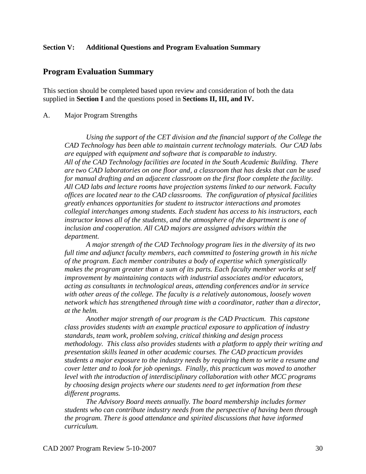#### **Section V: Additional Questions and Program Evaluation Summary**

### **Program Evaluation Summary**

This section should be completed based upon review and consideration of both the data supplied in **Section I** and the questions posed in **Sections II, III, and IV.**

#### A. Major Program Strengths

*Using the support of the CET division and the financial support of the College the CAD Technology has been able to maintain current technology materials. Our CAD labs are equipped with equipment and software that is comparable to industry. All of the CAD Technology facilities are located in the South Academic Building. There are two CAD laboratories on one floor and, a classroom that has desks that can be used for manual drafting and an adjacent classroom on the first floor complete the facility. All CAD labs and lecture rooms have projection systems linked to our network. Faculty offices are located near to the CAD classrooms. The configuration of physical facilities greatly enhances opportunities for student to instructor interactions and promotes collegial interchanges among students. Each student has access to his instructors, each instructor knows all of the students, and the atmosphere of the department is one of inclusion and cooperation. All CAD majors are assigned advisors within the department.* 

 *A major strength of the CAD Technology program lies in the diversity of its two full time and adjunct faculty members, each committed to fostering growth in his niche of the program. Each member contributes a body of expertise which synergistically makes the program greater than a sum of its parts. Each faculty member works at self improvement by maintaining contacts with industrial associates and/or educators, acting as consultants in technological areas, attending conferences and/or in service with other areas of the college. The faculty is a relatively autonomous, loosely woven network which has strengthened through time with a coordinator, rather than a director, at the helm.* 

*Another major strength of our program is the CAD Practicum. This capstone class provides students with an example practical exposure to application of industry standards, team work, problem solving, critical thinking and design process methodology. This class also provides students with a platform to apply their writing and presentation skills leaned in other academic courses. The CAD practicum provides students a major exposure to the industry needs by requiring them to write a resume and cover letter and to look for job openings. Finally, this practicum was moved to another level with the introduction of interdisciplinary collaboration with other MCC programs by choosing design projects where our students need to get information from these different programs.* 

*The Advisory Board meets annually. The board membership includes former students who can contribute industry needs from the perspective of having been through the program. There is good attendance and spirited discussions that have informed curriculum.*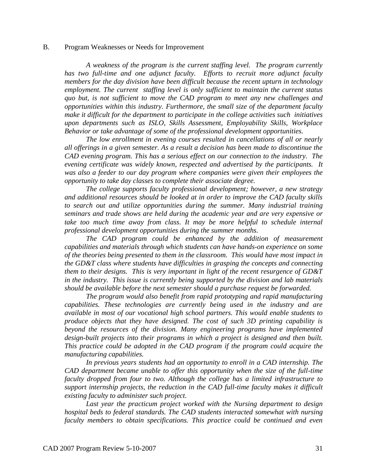#### B. Program Weaknesses or Needs for Improvement

*A weakness of the program is the current staffing level. The program currently has two full-time and one adjunct faculty. Efforts to recruit more adjunct faculty members for the day division have been difficult because the recent upturn in technology employment. The current staffing level is only sufficient to maintain the current status quo but, is not sufficient to move the CAD program to meet any new challenges and opportunities within this industry. Furthermore, the small size of the department faculty make it difficult for the department to participate in the college activities such initiatives upon departments such as ISLO, Skills Assessment, Employability Skills, Workplace Behavior or take advantage of some of the professional development opportunities.* 

*The low enrollment in evening courses resulted in cancellations of all or nearly all offerings in a given semester. As a result a decision has been made to discontinue the CAD evening program. This has a serious effect on our connection to the industry. The evening certificate was widely known, respected and advertised by the participants. It was also a feeder to our day program where companies were given their employees the opportunity to take day classes to complete their associate degree.* 

*The college supports faculty professional development; however, a new strategy and additional resources should be looked at in order to improve the CAD faculty skills to search out and utilize opportunities during the summer. Many industrial training seminars and trade shows are held during the academic year and are very expensive or*  take too much time away from class. It may be more helpful to schedule internal *professional development opportunities during the summer months.*

*The CAD program could be enhanced by the addition of measurement capabilities and materials through which students can have hands-on experience on some of the theories being presented to them in the classroom. This would have most impact in the GD&T class where students have difficulties in grasping the concepts and connecting them to their designs. This is very important in light of the recent resurgence of GD&T in the industry. This issue is currently being supported by the division and lab materials should be available before the next semester should a purchase request be forwarded.*

*The program would also benefit from rapid prototyping and rapid manufacturing capabilities. These technologies are currently being used in the industry and are available in most of our vocational high school partners. This would enable students to produce objects that they have designed. The cost of such 3D printing capability is beyond the resources of the division. Many engineering programs have implemented design-built projects into their programs in which a project is designed and then built. This practice could be adopted in the CAD program if the program could acquire the manufacturing capabilities.*

*In previous years students had an opportunity to enroll in a CAD internship. The CAD department became unable to offer this opportunity when the size of the full-time faculty dropped from four to two. Although the college has a limited infrastructure to support internship projects, the reduction in the CAD full-time faculty makes it difficult existing faculty to administer such project.*

*Last year the practicum project worked with the Nursing department to design hospital beds to federal standards. The CAD students interacted somewhat with nursing faculty members to obtain specifications. This practice could be continued and even*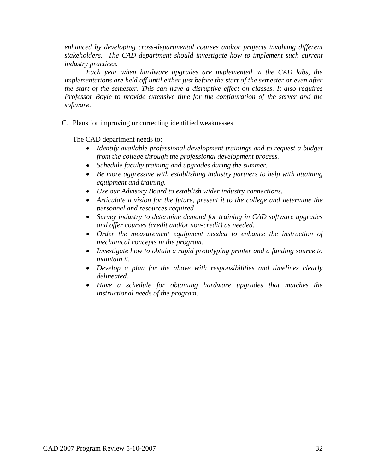*enhanced by developing cross-departmental courses and/or projects involving different stakeholders. The CAD department should investigate how to implement such current industry practices.*

*Each year when hardware upgrades are implemented in the CAD labs, the implementations are held off until either just before the start of the semester or even after the start of the semester. This can have a disruptive effect on classes. It also requires Professor Boyle to provide extensive time for the configuration of the server and the software.*

C. Plans for improving or correcting identified weaknesses

The CAD department needs to:

- *Identify available professional development trainings and to request a budget from the college through the professional development process.*
- *Schedule faculty training and upgrades during the summer.*
- *Be more aggressive with establishing industry partners to help with attaining equipment and training.*
- *Use our Advisory Board to establish wider industry connections.*
- *Articulate a vision for the future, present it to the college and determine the personnel and resources required*
- *Survey industry to determine demand for training in CAD software upgrades and offer courses (credit and/or non-credit) as needed.*
- *Order the measurement equipment needed to enhance the instruction of mechanical concepts in the program.*
- *Investigate how to obtain a rapid prototyping printer and a funding source to maintain it.*
- *Develop a plan for the above with responsibilities and timelines clearly delineated.*
- *Have a schedule for obtaining hardware upgrades that matches the instructional needs of the program.*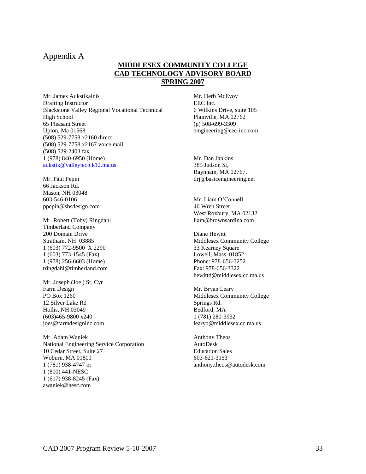### Appendix A

### **MIDDLESEX COMMUNITY COLLEGE CAD TECHNOLOGY ADVISORY BOARD SPRING 2007**

Mr. James Aukstikalnis Drafting Instructor Blackstone Valley Regional Vocational Technical High School 65 Pleasant Street Upton, Ma 01568 (508) 529-7758 x2160 direct (508) 529-7758 x2167 voice mail (508) 529-2403 fax 1 (978) 840-6950 (Home) [aukstik@valleytech.k12.ma.us](mailto:aukstik@valleytech.k12.ma.us)

Mr. Paul Pepin 66 Jackson Rd. Mason, NH 03048 603-546-0106 [ppepin@sbsdesign.com](mailto:ppepin@designsolutions.com)

Mr. Robert (Toby) Ringdahl Timberland Company 200 Domain Drive Stratham, NH 03885 1 (603) 772-9500 X 2290 1 (603) 773-1545 (Fax) 1 (978) 256-6603 (Home) [tringdahl@timberland.com](mailto:tringdahl@timberland.com)

Mr. Joseph (Joe ) St. Cyr Farm Design PO Box 1260 12 Silver Lake Rd Hollis, NH 03049 (603)465-9800 x240 [joes@farmdesigninc.com](file:///C:/Documents%20and%20Settings/boylep/Desktop/joes@farmdesigninc.com)

Mr. Adam Waniek National Engineering Service Corporation 10 Cedar Street, Suite 27 Woburn, MA 01801 1 (781) 938-4747 or 1 (800) 441-NESC 1 (617) 938-8245 (Fax) [awaniek@nesc.com](mailto:awaniek@nesc.com)

Mr. Herb McEvoy EEC Inc. 6 Wilkins Drive, suite 105 Plainville, MA 02762 (p) 508-699-3309 [emgineering@eec-inc.com](mailto:emgineering@eec-inc.com)

Mr. Dan Jankins 385 Judson St, Raynham, MA 02767. drj@basicengineering.net

Mr. Liam O'Connell 46 Wren Street West Roxbury, MA 02132 [liam@brownsardina.com](mailto:liam@brownsardina.com)

Diane Hewitt Middlesex Community College 33 Kearney Square Lowell, Mass. 01852 Phone: 978-656-3252 Fax: 978-656-3322 hewittd@middlesex.cc.ma.us

Mr. Bryan Leary Middlesex Community College Springs Rd. Bedford, MA 1 (781) 280-3932 [learyb@middlesex.cc.ma.us](mailto:learyb@middlesex.cc.ma.us)

Anthony Theos AutoDesk Education Sales 603-621-3153 [anthony.theos@autodesk.com](file:///C:/Documents%20and%20Settings/boylep/Desktop/anthony.theos@autodesk.com)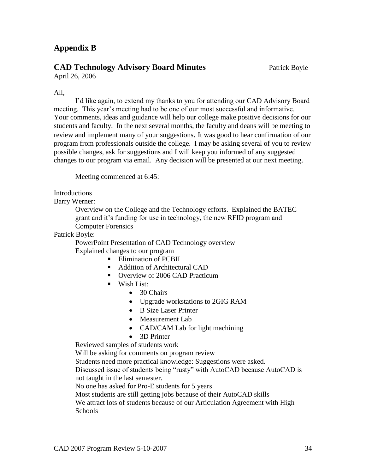## **Appendix B**

## **CAD Technology Advisory Board Minutes** Patrick Boyle

April 26, 2006

### All,

I'd like again, to extend my thanks to you for attending our CAD Advisory Board meeting. This year's meeting had to be one of our most successful and informative. Your comments, ideas and guidance will help our college make positive decisions for our students and faculty. In the next several months, the faculty and deans will be meeting to review and implement many of your suggestions. It was good to hear confirmation of our program from professionals outside the college. I may be asking several of you to review possible changes, ask for suggestions and I will keep you informed of any suggested changes to our program via email. Any decision will be presented at our next meeting.

Meeting commenced at 6:45:

**Introductions** 

Barry Werner:

Overview on the College and the Technology efforts. Explained the BATEC grant and it's funding for use in technology, the new RFID program and Computer Forensics

Patrick Boyle:

PowerPoint Presentation of CAD Technology overview Explained changes to our program

- **Elimination of PCBII**
- Addition of Architectural CAD
- Overview of 2006 CAD Practicum
- **Wish List:** 
	- 30 Chairs
	- Upgrade workstations to 2GIG RAM
	- B Size Laser Printer
	- Measurement Lab
	- CAD/CAM Lab for light machining
	- 3D Printer

Reviewed samples of students work

Will be asking for comments on program review

Students need more practical knowledge: Suggestions were asked.

Discussed issue of students being "rusty" with AutoCAD because AutoCAD is not taught in the last semester.

No one has asked for Pro-E students for 5 years

Most students are still getting jobs because of their AutoCAD skills

We attract lots of students because of our Articulation Agreement with High **Schools**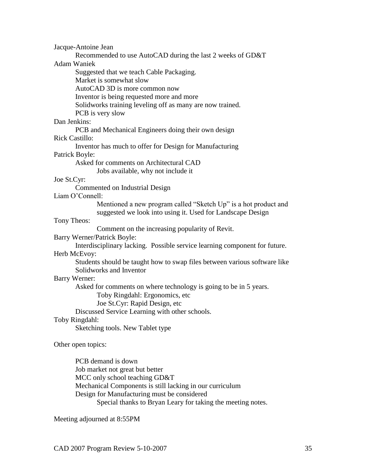Jacque-Antoine Jean

Recommended to use AutoCAD during the last 2 weeks of GD&T

Adam Waniek

Suggested that we teach Cable Packaging.

Market is somewhat slow

AutoCAD 3D is more common now

Inventor is being requested more and more

Solidworks training leveling off as many are now trained.

PCB is very slow

## Dan Jenkins:

PCB and Mechanical Engineers doing their own design

#### Rick Castillo:

Inventor has much to offer for Design for Manufacturing

Patrick Boyle:

Asked for comments on Architectural CAD

Jobs available, why not include it

### Joe St.Cyr:

Commented on Industrial Design

#### Liam O'Connell:

Mentioned a new program called "Sketch Up" is a hot product and suggested we look into using it. Used for Landscape Design

#### Tony Theos:

Comment on the increasing popularity of Revit.

### Barry Werner/Patrick Boyle:

Interdisciplinary lacking. Possible service learning component for future. Herb McEvoy:

Students should be taught how to swap files between various software like Solidworks and Inventor

#### Barry Werner:

Asked for comments on where technology is going to be in 5 years.

Toby Ringdahl: Ergonomics, etc

Joe St.Cyr: Rapid Design, etc

Discussed Service Learning with other schools.

#### Toby Ringdahl:

Sketching tools. New Tablet type

#### Other open topics:

PCB demand is down Job market not great but better MCC only school teaching GD&T Mechanical Components is still lacking in our curriculum Design for Manufacturing must be considered Special thanks to Bryan Leary for taking the meeting notes.

Meeting adjourned at 8:55PM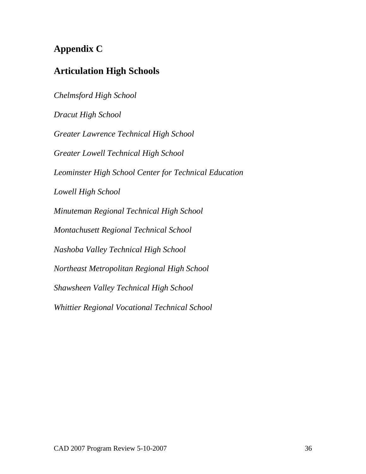# **Appendix C**

## **Articulation High Schools**

*Chelmsford High School Dracut High School Greater Lawrence Technical High School Greater Lowell Technical High School Leominster High School Center for Technical Education Lowell High School Minuteman Regional Technical High School Montachusett Regional Technical School Nashoba Valley Technical High School Northeast Metropolitan Regional High School Shawsheen Valley Technical High School Whittier Regional Vocational Technical School*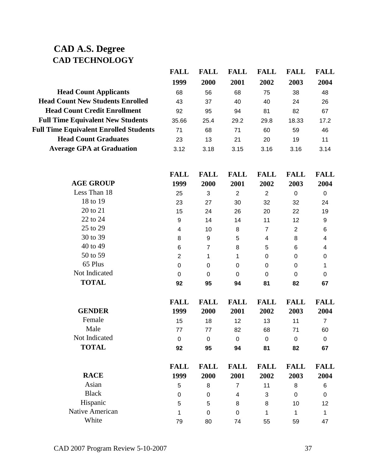## **CAD A.S. Degree CAD TECHNOLOGY**

|       | FALL. | FALL | FALL | <b>FALL</b> | FALL |
|-------|-------|------|------|-------------|------|
| 1999  | 2000  | 2001 | 2002 | 2003        | 2004 |
| 68    | 56    | 68   | 75   | 38          | 48   |
| 43    | 37    | 40   | 40   | 24          | 26   |
| 92    | 95    | 94   | 81   | 82          | 67   |
| 35.66 | 25.4  | 29.2 | 29.8 | 18.33       | 17.2 |
| 71    | 68    | 71   | 60   | 59          | 46   |
| 23    | 13    | 21   | 20   | 19          | 11   |
| 3.12  | 3.18  | 3.15 | 3.16 | 3.16        | 3.14 |
|       |       |      |      |             |      |

|                  | <b>FALL</b>      | <b>FALL</b>      | <b>FALL</b>      | <b>FALL</b>      | <b>FALL</b>    | <b>FALL</b>             |
|------------------|------------------|------------------|------------------|------------------|----------------|-------------------------|
| <b>AGE GROUP</b> | 1999             | 2000             | 2001             | 2002             | 2003           | 2004                    |
| Less Than 18     | 25               | 3                | $\overline{2}$   | $\overline{2}$   | $\mathbf 0$    | $\boldsymbol{0}$        |
| 18 to 19         | 23               | 27               | 30               | 32               | 32             | 24                      |
| 20 to 21         | 15               | 24               | 26               | 20               | 22             | 19                      |
| 22 to 24         | $\boldsymbol{9}$ | 14               | 14               | 11               | 12             | $\boldsymbol{9}$        |
| 25 to 29         | $\overline{4}$   | 10               | 8                | $\overline{7}$   | $\overline{2}$ | 6                       |
| 30 to 39         | 8                | $\boldsymbol{9}$ | 5                | $\overline{4}$   | 8              | $\overline{\mathbf{4}}$ |
| 40 to 49         | 6                | $\overline{7}$   | 8                | 5                | 6              | 4                       |
| 50 to 59         | $\overline{2}$   | 1                | 1                | $\mathbf 0$      | $\pmb{0}$      | $\boldsymbol{0}$        |
| 65 Plus          | $\mathbf 0$      | $\mathbf 0$      | $\boldsymbol{0}$ | $\boldsymbol{0}$ | $\pmb{0}$      | 1                       |
| Not Indicated    | $\mathbf 0$      | $\mathbf 0$      | $\mathbf 0$      | $\mathbf 0$      | $\mathbf 0$    | $\mathbf 0$             |
| <b>TOTAL</b>     | 92               | 95               | 94               | 81               | 82             | 67                      |
|                  | <b>FALL</b>      | <b>FALL</b>      | <b>FALL</b>      | <b>FALL</b>      | <b>FALL</b>    | <b>FALL</b>             |
| <b>GENDER</b>    | 1999             | 2000             | 2001             | 2002             | 2003           | 2004                    |
| Female           | 15               | 18               | 12               | 13               | 11             | $\overline{7}$          |
| Male             | 77               | 77               | 82               | 68               | 71             | 60                      |
| Not Indicated    | $\overline{0}$   | $\mathbf 0$      | $\mathbf 0$      | $\mathbf 0$      | $\mathbf 0$    | $\boldsymbol{0}$        |
| <b>TOTAL</b>     | 92               | 95               | 94               | 81               | 82             | 67                      |
|                  |                  |                  |                  |                  |                |                         |
|                  | <b>FALL</b>      | <b>FALL</b>      | <b>FALL</b>      | <b>FALL</b>      | <b>FALL</b>    | <b>FALL</b>             |
| <b>RACE</b>      | 1999             | 2000             | 2001             | 2002             | 2003           | 2004                    |
| Asian            | 5                | 8                | $\overline{7}$   | 11               | 8              | 6                       |
| <b>Black</b>     | $\mathbf 0$      | $\mathbf 0$      | 4                | 3                | $\mathbf 0$    | $\mathbf 0$             |
| Hispanic         | 5                | 5                | 8                | 8                | 10             | 12                      |
| Native American  | 1                | $\mathbf 0$      | $\mathbf 0$      | $\mathbf{1}$     | 1              | 1                       |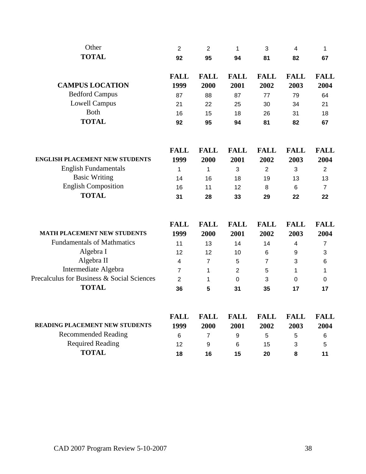| Other                                      | $\overline{2}$      | $\overline{2}$      | 1                   | 3                   | 4                   | 1                   |
|--------------------------------------------|---------------------|---------------------|---------------------|---------------------|---------------------|---------------------|
| <b>TOTAL</b>                               | 92                  | 95                  | 94                  | 81                  | 82                  | 67                  |
|                                            | <b>FALL</b>         | <b>FALL</b>         | <b>FALL</b>         | <b>FALL</b>         | <b>FALL</b>         | <b>FALL</b>         |
| <b>CAMPUS LOCATION</b>                     | 1999                | 2000                | 2001                | 2002                | 2003                | 2004                |
| <b>Bedford Campus</b>                      | 87                  | 88                  | 87                  | 77                  | 79                  | 64                  |
| <b>Lowell Campus</b>                       | 21                  | 22                  | 25                  | 30                  | 34                  | 21                  |
| Both                                       | 16                  | 15                  | 18                  | 26                  | 31                  | 18                  |
| <b>TOTAL</b>                               | 92                  | 95                  | 94                  | 81                  | 82                  | 67                  |
| <b>ENGLISH PLACEMENT NEW STUDENTS</b>      | <b>FALL</b><br>1999 | <b>FALL</b><br>2000 | <b>FALL</b><br>2001 | <b>FALL</b><br>2002 | <b>FALL</b><br>2003 | <b>FALL</b><br>2004 |
| <b>English Fundamentals</b>                | 1                   | 1                   | 3                   | $\overline{2}$      | 3                   | $\overline{2}$      |
| <b>Basic Writing</b>                       | 14                  | 16                  | 18                  | 19                  | 13                  | 13                  |
| <b>English Composition</b>                 | 16                  | 11                  | 12                  | 8                   | 6                   | $\overline{7}$      |
| <b>TOTAL</b>                               | 31                  | 28                  | 33                  | 29                  | 22                  | 22                  |
|                                            | <b>FALL</b>         | <b>FALL</b>         | <b>FALL</b>         | <b>FALL</b>         | <b>FALL</b>         | <b>FALL</b>         |
| <b>MATH PLACEMENT NEW STUDENTS</b>         | 1999                | 2000                | 2001                | 2002                | 2003                | 2004                |
| <b>Fundamentals of Mathmatics</b>          | 11                  | 13                  | 14                  | 14                  | 4                   | $\overline{7}$      |
| Algebra I                                  | 12                  | 12                  | 10                  | 6                   | 9                   | 3                   |
| Algebra II<br>Intermediate Algebra         | 4                   | $\overline{7}$      | 5                   | 7                   | 3                   | 6                   |
| Precalculus for Business & Social Sciences | $\overline{7}$      | 1                   | $\overline{2}$      | 5                   | 1                   | 1                   |
| <b>TOTAL</b>                               | $\overline{2}$      | 1                   | 0                   | 3                   | $\mathbf 0$         | 0                   |
|                                            | 36                  | 5                   | 31                  | 35                  | 17                  | 17                  |
|                                            | <b>FALL</b>         | <b>FALL</b>         | <b>FALL</b>         | <b>FALL</b>         | <b>FALL</b>         | <b>FALL</b>         |
| READING PLACEMENT NEW STUDENTS             | 1999                | 2000                | 2001                | 2002                | 2003                | 2004                |
| <b>Recommended Reading</b>                 | 6                   | $\overline{7}$      | 9                   | 5                   | 5                   | 6                   |
| <b>Required Reading</b>                    | 12                  | 9                   | 6                   | 15                  | 3                   | 5                   |
| <b>TOTAL</b>                               | 18                  | 16                  | 15                  | 20                  | 8                   | 11                  |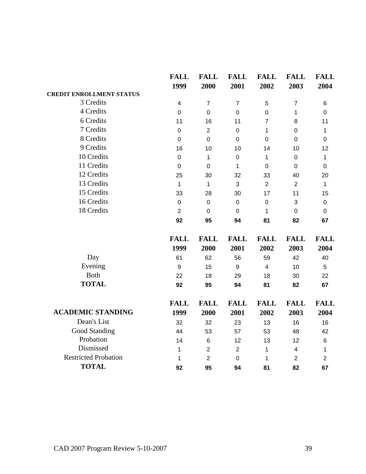|                                 | <b>FALL</b><br>1999 | <b>FALL</b><br>2000 | <b>FALL</b><br>2001 | <b>FALL</b><br>2002 | <b>FALL</b><br>2003 | <b>FALL</b><br>2004 |
|---------------------------------|---------------------|---------------------|---------------------|---------------------|---------------------|---------------------|
| <b>CREDIT ENROLLMENT STATUS</b> |                     |                     |                     |                     |                     |                     |
| 3 Credits                       | $\overline{4}$      | $\overline{7}$      | $\overline{7}$      | 5                   | $\overline{7}$      | 6                   |
| 4 Credits                       | $\mathbf 0$         | $\mathbf 0$         | $\mathbf 0$         | $\pmb{0}$           | 1                   | $\mathbf 0$         |
| 6 Credits                       | 11                  | 16                  | 11                  | $\overline{7}$      | 8                   | 11                  |
| 7 Credits                       | $\pmb{0}$           | $\overline{2}$      | $\mathbf 0$         | $\mathbf{1}$        | $\pmb{0}$           | $\mathbf 1$         |
| 8 Credits                       | $\pmb{0}$           | $\mathbf 0$         | $\mathbf 0$         | $\mathbf 0$         | $\mathbf 0$         | $\mathbf 0$         |
| 9 Credits                       | 16                  | 10                  | 10                  | 14                  | 10                  | 12                  |
| 10 Credits                      | $\mathsf 0$         | 1                   | $\boldsymbol{0}$    | 1                   | $\pmb{0}$           | 1                   |
| 11 Credits                      | $\pmb{0}$           | $\pmb{0}$           | 1                   | $\mathbf 0$         | $\mathbf 0$         | $\mathbf 0$         |
| 12 Credits                      | 25                  | 30                  | 32                  | 33                  | 40                  | 20                  |
| 13 Credits                      | $\mathbf{1}$        | 1                   | 3                   | $\overline{2}$      | $\overline{2}$      | $\mathbf 1$         |
| 15 Credits                      | 33                  | 28                  | 30                  | 17                  | 11                  | 15                  |
| 16 Credits                      | $\pmb{0}$           | $\boldsymbol{0}$    | $\boldsymbol{0}$    | $\pmb{0}$           | 3                   | $\mathbf 0$         |
| 18 Credits                      | $\overline{2}$      | $\mathbf 0$         | $\mathbf 0$         | 1                   | $\mathbf 0$         | $\mathbf 0$         |
|                                 | 92                  | 95                  | 94                  | 81                  | 82                  | 67                  |
|                                 | <b>FALL</b>         | <b>FALL</b>         | <b>FALL</b>         | <b>FALL</b>         | <b>FALL</b>         | <b>FALL</b>         |
|                                 | 1999                | 2000                | 2001                | 2002                | 2003                | 2004                |
| Day                             | 61                  | 62                  | 56                  | 59                  | 42                  | 40                  |
| Evening                         | 9                   | 15                  | 9                   | $\overline{4}$      | 10                  | 5                   |
| <b>Both</b>                     | 22                  | 18                  | 29                  | 18                  | 30                  | 22                  |
| <b>TOTAL</b>                    | 92                  | 95                  | 94                  | 81                  | 82                  | 67                  |
|                                 | <b>FALL</b>         | <b>FALL</b>         | <b>FALL</b>         | <b>FALL</b>         | <b>FALL</b>         | <b>FALL</b>         |
| <b>ACADEMIC STANDING</b>        | 1999                | 2000                | 2001                | 2002                | 2003                | 2004                |
| Dean's List                     | 32                  | 32                  | 23                  | 13                  | 16                  | 16                  |
| Good Standing                   | 44                  | 53                  | 57                  | 53                  | 48                  | 42                  |
| Probation                       | 14                  | $\,6$               | 12                  | 13                  | 12                  | 6                   |
| Dismissed                       | 1                   | $\overline{2}$      | $\overline{2}$      | 1                   | 4                   | $\mathbf{1}$        |
| <b>Restricted Probation</b>     | 1                   | $\overline{2}$      | $\overline{0}$      | 1                   | $\overline{2}$      | $\overline{2}$      |
| <b>TOTAL</b>                    | 92                  | 95                  | 94                  | 81                  | 82                  | 67                  |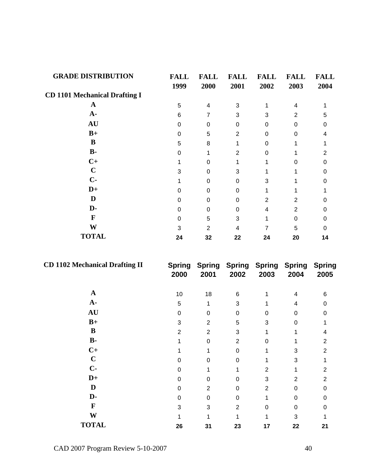| <b>GRADE DISTRIBUTION</b>            | <b>FALL</b><br>1999 | <b>FALL</b><br>2000 | <b>FALL</b><br>2001 | <b>FALL</b><br>2002 | <b>FALL</b><br>2003 | <b>FALL</b><br>2004 |
|--------------------------------------|---------------------|---------------------|---------------------|---------------------|---------------------|---------------------|
| <b>CD 1101 Mechanical Drafting I</b> |                     |                     |                     |                     |                     |                     |
| $\mathbf A$                          | 5                   | 4                   | 3                   |                     | 4                   |                     |
| $A -$                                | 6                   | $\overline{7}$      | 3                   | 3                   | $\overline{2}$      | 5                   |
| <b>AU</b>                            | $\Omega$            | $\Omega$            | $\Omega$            | $\Omega$            | $\Omega$            | 0                   |
| $B+$                                 | $\Omega$            | 5                   | $\overline{2}$      | $\Omega$            | $\Omega$            | 4                   |
| B                                    | 5                   | 8                   |                     | $\Omega$            |                     |                     |
| $B -$                                | $\Omega$            | 1                   | $\overline{2}$      | $\Omega$            |                     | 2                   |
| $C+$                                 |                     | $\Omega$            | 1                   |                     | $\Omega$            | 0                   |
| $\mathbf C$                          | 3                   | $\Omega$            | 3                   |                     |                     | 0                   |
| $C-$                                 |                     | 0                   | $\Omega$            | 3                   |                     | O                   |
| $D+$                                 | $\Omega$            | $\Omega$            | $\Omega$            |                     |                     |                     |
| D                                    | $\Omega$            | $\Omega$            | $\Omega$            | $\overline{2}$      | 2                   | 0                   |
| D-                                   | $\Omega$            | 0                   | 0                   | 4                   | 2                   | 0                   |
| F                                    | $\Omega$            | 5                   | 3                   | 1                   | $\Omega$            | 0                   |
| W                                    | 3                   | $\overline{2}$      | 4                   | 7                   | 5                   | $\Omega$            |
| <b>TOTAL</b>                         | 24                  | 32                  | 22                  | 24                  | 20                  | 14                  |

| <b>CD 1102 Mechanical Drafting II</b> | <b>Spring</b><br>2000 | 2001 | 2002            | Spring Spring Spring Spring Spring<br>2003 | 2004 | 2005 |
|---------------------------------------|-----------------------|------|-----------------|--------------------------------------------|------|------|
| A                                     | 10                    | 18   | $6\phantom{1}6$ |                                            | 4    | 6    |
| $A-$                                  | 5                     | 1    | 3               |                                            | 4    | 0    |
| <b>AU</b>                             | 0                     | 0    | 0               | 0                                          | 0    | 0    |
| $B+$                                  | 3                     | 2    | 5               | 3                                          | 0    |      |
| B                                     | 2                     | 2    | 3               |                                            |      |      |
| $B -$                                 |                       | 0    | $\overline{2}$  | 0                                          |      | 2    |
| $C+$                                  |                       |      | $\Omega$        |                                            | 3    | 2    |
| $\mathbf C$                           | 0                     | 0    | 0               |                                            | 3    |      |
| $C -$                                 | $\Omega$              |      | 1               | $\overline{2}$                             |      | 2    |
| $D+$                                  | 0                     | 0    | 0               | 3                                          | 2    | 2    |
| D                                     | $\Omega$              | 2    | 0               | $\overline{2}$                             | 0    | 0    |
| D-                                    | 0                     | 0    | 0               |                                            | 0    | 0    |
| $\mathbf F$                           | 3                     | 3    | $\overline{2}$  | 0                                          | 0    | 0    |
| W                                     |                       |      |                 |                                            | 3    |      |
| <b>TOTAL</b>                          | 26                    | 31   | 23              | 17                                         | 22   | 21   |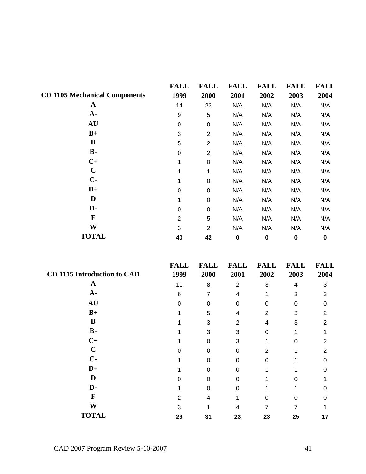|                                      | <b>FALL</b>    | <b>FALL</b>      | <b>FALL</b> | <b>FALL</b> | <b>FALL</b> | <b>FALL</b> |
|--------------------------------------|----------------|------------------|-------------|-------------|-------------|-------------|
| <b>CD 1105 Mechanical Components</b> | 1999           | 2000             | 2001        | 2002        | 2003        | 2004        |
| $\mathbf A$                          | 14             | 23               | N/A         | N/A         | N/A         | N/A         |
| $A -$                                | 9              | 5                | N/A         | N/A         | N/A         | N/A         |
| <b>AU</b>                            | 0              | 0                | N/A         | N/A         | N/A         | N/A         |
| $B+$                                 | 3              | $\overline{2}$   | N/A         | N/A         | N/A         | N/A         |
| B                                    | 5              | $\overline{2}$   | N/A         | N/A         | N/A         | N/A         |
| $B -$                                | 0              | $\mathbf{2}$     | N/A         | N/A         | N/A         | N/A         |
| $C+$                                 | 1              | $\pmb{0}$        | N/A         | N/A         | N/A         | N/A         |
| $\mathbf C$                          | 1              | 1                | N/A         | N/A         | N/A         | N/A         |
| $C-$                                 | 1              | $\mathbf 0$      | N/A         | N/A         | N/A         | N/A         |
| $D+$                                 | $\mathbf 0$    | 0                | N/A         | N/A         | N/A         | N/A         |
| D                                    | 1              | 0                | N/A         | N/A         | N/A         | N/A         |
| D-                                   | 0              | $\boldsymbol{0}$ | N/A         | N/A         | N/A         | N/A         |
| F                                    | $\overline{2}$ | 5                | N/A         | N/A         | N/A         | N/A         |
| W                                    | 3              | $\overline{2}$   | N/A         | N/A         | N/A         | N/A         |
| <b>TOTAL</b>                         | 40             | 42               | $\bf{0}$    | $\mathbf 0$ | $\pmb{0}$   | $\bf{0}$    |

|                                    | <b>FALL</b> | <b>FALL</b> | <b>FALL</b>    | <b>FALL</b>    | <b>FALL</b> | <b>FALL</b> |
|------------------------------------|-------------|-------------|----------------|----------------|-------------|-------------|
| <b>CD 1115 Introduction to CAD</b> | 1999        | 2000        | 2001           | 2002           | 2003        | 2004        |
| A                                  | 11          | 8           | $\overline{2}$ | 3              | 4           | 3           |
| $A-$                               | 6           | 7           | 4              |                | 3           | 3           |
| <b>AU</b>                          | U           | 0           | $\Omega$       | 0              | $\Omega$    |             |
| $B+$                               |             | 5           | 4              | $\overline{2}$ | 3           | 2           |
| B                                  |             | 3           | 2              | 4              | 3           | 2           |
| $\mathbf{B}$ -                     |             | 3           | 3              | 0              |             |             |
| $C+$                               |             | 0           | 3              |                | 0           | 2           |
| C                                  |             | 0           | $\Omega$       | $\overline{2}$ |             | 2           |
| $C-$                               |             | O           | $\Omega$       | 0              |             |             |
| $D+$                               |             | 0           | 0              |                |             |             |
| D                                  | U           | O           | 0              |                | 0           |             |
| D-                                 |             | 0           | $\Omega$       |                |             |             |
| F                                  | 2           | 4           |                | O              | U           |             |
| W                                  | 3           |             |                |                |             |             |
| <b>TOTAL</b>                       | 29          | 31          | 23             | 23             | 25          | 17          |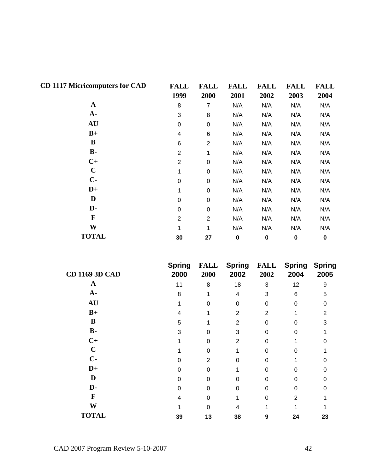| <b>CD 1117 Micricomputers for CAD</b> | <b>FALL</b><br>1999 | <b>FALL</b><br>2000 | <b>FALL</b><br>2001 | <b>FALL</b><br>2002 | <b>FALL</b><br>2003 | <b>FALL</b><br>2004 |
|---------------------------------------|---------------------|---------------------|---------------------|---------------------|---------------------|---------------------|
| $\mathbf A$                           | 8                   | $\overline{7}$      | N/A                 | N/A                 | N/A                 | N/A                 |
| $A-$                                  | 3                   | 8                   | N/A                 | N/A                 | N/A                 | N/A                 |
| <b>AU</b>                             | 0                   | $\,0\,$             | N/A                 | N/A                 | N/A                 | N/A                 |
| $B+$                                  | 4                   | 6                   | N/A                 | N/A                 | N/A                 | N/A                 |
| B                                     | 6                   | $\overline{2}$      | N/A                 | N/A                 | N/A                 | N/A                 |
| $\mathbf{B}$ -                        | $\overline{2}$      | 1                   | N/A                 | N/A                 | N/A                 | N/A                 |
| $C+$                                  | $\overline{2}$      | $\boldsymbol{0}$    | N/A                 | N/A                 | N/A                 | N/A                 |
| $\mathbf C$                           | 1                   | $\pmb{0}$           | N/A                 | N/A                 | N/A                 | N/A                 |
| $C-$                                  | $\boldsymbol{0}$    | $\boldsymbol{0}$    | N/A                 | N/A                 | N/A                 | N/A                 |
| $D+$                                  | 1                   | $\boldsymbol{0}$    | N/A                 | N/A                 | N/A                 | N/A                 |
| D                                     | $\mathbf 0$         | 0                   | N/A                 | N/A                 | N/A                 | N/A                 |
| D-                                    | 0                   | 0                   | N/A                 | N/A                 | N/A                 | N/A                 |
| F                                     | $\overline{2}$      | $\overline{2}$      | N/A                 | N/A                 | N/A                 | N/A                 |
| W                                     | 1                   | 1                   | N/A                 | N/A                 | N/A                 | N/A                 |
| <b>TOTAL</b>                          | 30                  | 27                  | $\pmb{0}$           | $\mathbf 0$         | $\bf{0}$            | $\bf{0}$            |

| <b>CD 1169 3D CAD</b> | <b>Spring</b><br>2000 | <b>FALL</b><br>2000 | <b>Spring</b><br>2002 | <b>FALL</b><br>2002 | <b>Spring</b><br>2004 | <b>Spring</b><br>2005 |
|-----------------------|-----------------------|---------------------|-----------------------|---------------------|-----------------------|-----------------------|
| A                     | 11                    | 8                   | 18                    | 3                   | 12                    | 9                     |
| $A-$                  | 8                     |                     | 4                     | 3                   | 6                     | 5                     |
| AU                    |                       | O                   | $\Omega$              | $\Omega$            | $\Omega$              |                       |
| $B+$                  |                       |                     | $\overline{2}$        | $\overline{2}$      |                       | 2                     |
| B                     | 5                     |                     | 2                     |                     |                       |                       |
| $B -$                 | 3                     |                     | 3                     | U                   |                       |                       |
| $C+$                  |                       | O                   | 2                     | 0                   |                       |                       |
| $\mathbf C$           |                       | U                   |                       | U                   |                       |                       |
| $C -$                 |                       | $\mathcal{P}$       | U                     | U                   |                       |                       |
| $D+$                  | U                     | $\Omega$            |                       | U                   |                       |                       |
| D                     | $\Omega$              | $\Omega$            | O                     | 0                   | O                     |                       |
| D-                    | $\Omega$              | O                   | $\Omega$              | 0                   | 0                     |                       |
| F                     |                       |                     |                       |                     | $\mathfrak{p}$        |                       |
| W                     |                       |                     |                       |                     |                       |                       |
| <b>TOTAL</b>          | 39                    | 13                  | 38                    | 9                   | 24                    | 23                    |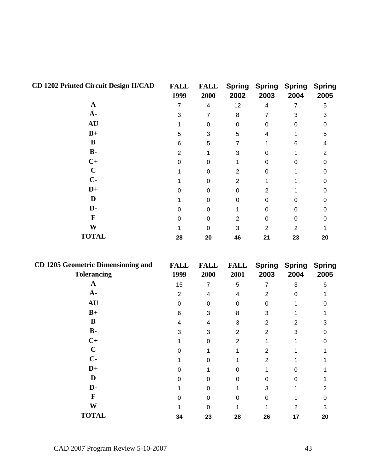| <b>CD 1202 Printed Circuit Design II/CAD</b> | <b>FALL</b><br>1999 | <b>FALL</b><br>2000 | <b>Spring</b><br>2002 | <b>Spring</b><br>2003 | <b>Spring</b><br>2004 | <b>Spring</b><br>2005 |
|----------------------------------------------|---------------------|---------------------|-----------------------|-----------------------|-----------------------|-----------------------|
| $\mathbf A$                                  |                     | 4                   | 12                    | 4                     |                       | 5                     |
| $A-$                                         | 3                   |                     | 8                     | 7                     | 3                     |                       |
| <b>AU</b>                                    |                     | 0                   | 0                     | 0                     | 0                     |                       |
| $B+$                                         | 5                   | 3                   | 5                     | 4                     |                       | 5                     |
| B                                            | 6                   | 5                   |                       |                       | 6                     |                       |
| $\mathbf{B}$ -                               | 2                   |                     | 3                     | ი                     |                       |                       |
| $C+$                                         | 0                   | 0                   |                       | 0                     | O                     |                       |
| $\mathbf C$                                  |                     | 0                   | 2                     | 0                     |                       |                       |
| $C -$                                        |                     | O                   | 2                     |                       |                       |                       |
| $D+$                                         |                     | 0                   | 0                     | 2                     |                       |                       |
| D                                            |                     | O                   | 0                     | 0                     | O                     |                       |
| D-                                           |                     | 0                   |                       | 0                     | 0                     |                       |
| F                                            | O                   | 0                   | 2                     | 0                     | 0                     |                       |
| W                                            |                     | O                   | 3                     | 2                     | 2                     |                       |
| <b>TOTAL</b>                                 | 28                  | 20                  | 46                    | 21                    | 23                    | 20                    |

| <b>CD 1205 Geometric Dimensioning and</b> | <b>FALL</b> | <b>FALL</b> | <b>FALL</b> | <b>Spring</b>  | <b>Spring</b> | <b>Spring</b> |
|-------------------------------------------|-------------|-------------|-------------|----------------|---------------|---------------|
| <b>Tolerancing</b>                        | 1999        | 2000        | 2001        | 2003           | 2004          | 2005          |
| A                                         | 15          | 7           | 5           | 7              | 3             | 6.            |
| $A-$                                      | 2           | 4           | 4           | 2              | 0             |               |
| <b>AU</b>                                 | 0           | 0           | O           | 0              |               |               |
| $B+$                                      | 6           | 3           | 8           | 3              |               |               |
| B                                         | 4           | 4           | 3           | 2              | 2             |               |
| $\mathbf{B}$ -                            | 3           | 3           | 2           | $\overline{2}$ | 3             |               |
| $C+$                                      |             | 0           | 2           |                |               |               |
| $\mathbf C$                               |             |             |             | $\overline{2}$ |               |               |
| $C -$                                     |             | n           |             | 2              |               |               |
| $D+$                                      |             |             |             |                |               |               |
| D                                         |             |             |             |                |               |               |
| D-                                        |             | 0           |             | 3              |               |               |
| F                                         |             | 0           |             | n              |               |               |
| W                                         |             |             |             |                | 2             | З             |
| <b>TOTAL</b>                              | 34          | 23          | 28          | 26             | 17            | 20            |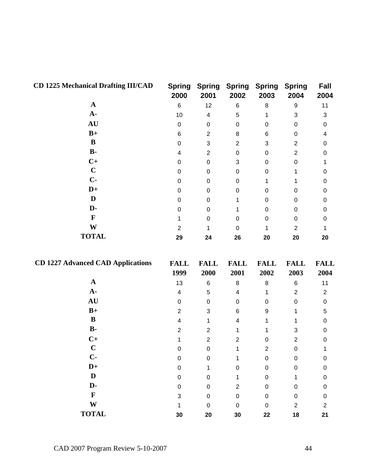| <b>CD 1225 Mechanical Drafting III/CAD</b> | <b>Spring</b><br>2000   | <b>Spring</b><br>2001    | <b>Spring</b><br>2002   | <b>Spring</b><br>2003 | <b>Spring</b><br>2004 | Fall<br>2004        |
|--------------------------------------------|-------------------------|--------------------------|-------------------------|-----------------------|-----------------------|---------------------|
| $\mathbf{A}$                               | $\,6$                   | 12                       | $\,6$                   | $\,8\,$               | $\boldsymbol{9}$      | 11                  |
| $A -$                                      | 10                      | $\overline{\mathcal{A}}$ | 5                       | 1                     | 3                     | 3                   |
| AU                                         | $\boldsymbol{0}$        | $\pmb{0}$                | $\boldsymbol{0}$        | $\pmb{0}$             | $\pmb{0}$             | $\pmb{0}$           |
| $B+$                                       | $\,6$                   | $\overline{c}$           | 8                       | $\,6$                 | $\pmb{0}$             | 4                   |
| $\bf{B}$                                   | $\boldsymbol{0}$        | $\sqrt{3}$               | $\overline{c}$          | 3                     | $\overline{2}$        | 0                   |
| $\mathbf{B}$                               | 4                       | $\overline{2}$           | $\mathbf 0$             | $\pmb{0}$             | $\overline{2}$        | $\mathbf 0$         |
| $C+$                                       | $\boldsymbol{0}$        | $\pmb{0}$                | 3                       | $\pmb{0}$             | $\pmb{0}$             | 1                   |
| $\mathbf C$                                | $\boldsymbol{0}$        | $\pmb{0}$                | $\boldsymbol{0}$        | $\pmb{0}$             | 1                     | 0                   |
| $C -$                                      | $\boldsymbol{0}$        | $\boldsymbol{0}$         | $\boldsymbol{0}$        | 1                     | 1                     | $\mathbf 0$         |
| $D+$                                       | $\boldsymbol{0}$        | $\pmb{0}$                | $\boldsymbol{0}$        | $\pmb{0}$             | 0                     | $\mathbf 0$         |
| D                                          | $\boldsymbol{0}$        | $\,0\,$                  | 1                       | $\pmb{0}$             | $\pmb{0}$             | 0                   |
| D-                                         | $\pmb{0}$               | 0                        | 1                       | $\pmb{0}$             | 0                     | $\pmb{0}$           |
| $\mathbf{F}$                               | 1                       | $\pmb{0}$                | $\boldsymbol{0}$        | $\pmb{0}$             | $\pmb{0}$             | $\mathbf 0$         |
| W                                          | $\sqrt{2}$              | 1                        | $\boldsymbol{0}$        | 1                     | $\overline{2}$        | 1                   |
| <b>TOTAL</b>                               | 29                      | 24                       | 26                      | 20                    | 20                    | 20                  |
| <b>CD 1227 Advanced CAD Applications</b>   | <b>FALL</b><br>1999     | <b>FALL</b><br>2000      | <b>FALL</b><br>2001     | <b>FALL</b><br>2002   | <b>FALL</b><br>2003   | <b>FALL</b><br>2004 |
| $\mathbf A$                                | 13                      | $\,6$                    | $\,$ 8 $\,$             | $\,8\,$               | 6                     | 11                  |
| $A -$                                      | $\overline{\mathbf{4}}$ | $\mathbf 5$              | $\overline{\mathbf{4}}$ | 1                     | $\mathbf{2}$          | $\overline{c}$      |
| AU                                         | $\boldsymbol{0}$        | $\pmb{0}$                | $\boldsymbol{0}$        | $\pmb{0}$             | 0                     | $\pmb{0}$           |
| $B+$                                       | $\overline{c}$          | $\sqrt{3}$               | $\,6$                   | 9                     | 1                     | 5                   |
| $\bf{B}$                                   | $\overline{\mathbf{4}}$ | 1                        | 4                       | 1                     | 1                     | $\pmb{0}$           |
| $B-$                                       | $\overline{2}$          | $\overline{2}$           | 1                       | 1                     | $\sqrt{3}$            | 0                   |
| $C+$                                       | 1                       | $\overline{2}$           | $\overline{c}$          | $\mathbf 0$           | $\overline{2}$        | $\boldsymbol{0}$    |
| $\mathbf C$                                | 0                       | $\Omega$                 | 1.                      | $\overline{2}$        | 0                     | 1                   |
| $C -$                                      | $\mathbf 0$             | $\pmb{0}$                | 1                       | 0                     | $\boldsymbol{0}$      | $\mathbf 0$         |
| $D+$                                       | $\Omega$                | 1                        | 0                       | 0                     | $\boldsymbol{0}$      | 0                   |
| $\mathbf D$                                | 0                       | 0                        | 1                       | 0                     | 1                     | 0                   |
| D-                                         | 0                       | $\pmb{0}$                | $\overline{2}$          | 0                     | $\boldsymbol{0}$      | 0                   |
| $\mathbf F$                                | 3                       | $\pmb{0}$                | 0                       | $\pmb{0}$             | $\pmb{0}$             | 0                   |
| $\mathbf{W}$                               | 1                       | $\pmb{0}$                | $\pmb{0}$               | $\pmb{0}$             | $\overline{2}$        | $\overline{c}$      |
| <b>TOTAL</b>                               | 30                      | 20                       | 30                      | 22                    | 18                    | 21                  |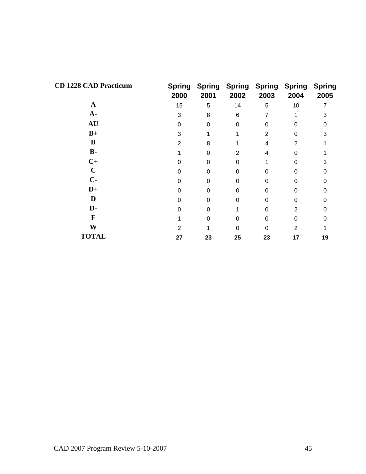| <b>CD 1228 CAD Practicum</b> | <b>Spring</b><br>2000 | 2001     | <b>Spring Spring Spring Spring</b><br>2002 | 2003     | 2004           | <b>Spring</b><br>2005 |
|------------------------------|-----------------------|----------|--------------------------------------------|----------|----------------|-----------------------|
| A                            | 15                    | 5        | 14                                         | 5        | 10             | 7                     |
| $A-$                         | 3                     | 8        | 6                                          | 7        |                | 3                     |
| <b>AU</b>                    | $\Omega$              | $\Omega$ | $\Omega$                                   | 0        | $\Omega$       | 0                     |
| $B+$                         | 3                     | 1        |                                            | 2        | $\Omega$       | 3                     |
| B                            | $\overline{2}$        | 8        |                                            | 4        | $\overline{2}$ |                       |
| $B -$                        |                       | $\Omega$ | 2                                          | 4        | $\Omega$       |                       |
| $C+$                         | O                     | 0        | 0                                          |          | $\Omega$       | 3                     |
| $\mathbf C$                  | 0                     | $\Omega$ | $\Omega$                                   | 0        | 0              | ი                     |
| $C-$                         | U                     | $\Omega$ | O                                          | 0        | $\Omega$       | ი                     |
| $D+$                         | 0                     | $\Omega$ | O                                          | 0        | $\Omega$       |                       |
| D                            | $\Omega$              | $\Omega$ | $\Omega$                                   | $\Omega$ | $\Omega$       |                       |
| D-                           | U                     | $\Omega$ |                                            | $\Omega$ | 2              | O                     |
| F                            |                       | $\Omega$ | 0                                          | 0        | $\Omega$       | ი                     |
| W                            | 2                     |          | $\Omega$                                   | 0        | 2              |                       |
| <b>TOTAL</b>                 | 27                    | 23       | 25                                         | 23       | 17             | 19                    |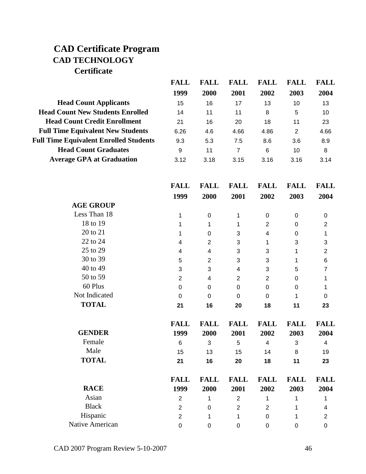## **CAD Certificate Program CAD TECHNOLOGY Certificate**

|                                               | <b>FALL</b>         | <b>FALL</b>         | <b>FALL</b>              | <b>FALL</b>         | <b>FALL</b>         | <b>FALL</b>             |
|-----------------------------------------------|---------------------|---------------------|--------------------------|---------------------|---------------------|-------------------------|
|                                               | 1999                | 2000                | 2001                     | 2002                | 2003                | 2004                    |
| <b>Head Count Applicants</b>                  | 15                  | 16                  | 17                       | 13                  | 10                  | 13                      |
| <b>Head Count New Students Enrolled</b>       | 14                  | 11                  | 11                       | 8                   | 5                   | 10                      |
| <b>Head Count Credit Enrollment</b>           | 21                  | 16                  | 20                       | 18                  | 11                  | 23                      |
| <b>Full Time Equivalent New Students</b>      | 6.26                | 4.6                 | 4.66                     | 4.86                | $\overline{2}$      | 4.66                    |
| <b>Full Time Equivalent Enrolled Students</b> | 9.3                 | 5.3                 | 7.5                      | 8.6                 | 3.6                 | 8.9                     |
| <b>Head Count Graduates</b>                   | $\boldsymbol{9}$    | 11                  | $\overline{7}$           | $\,6$               | 10                  | $\bf 8$                 |
| <b>Average GPA at Graduation</b>              | 3.12                | 3.18                | 3.15                     | 3.16                | 3.16                | 3.14                    |
|                                               | <b>FALL</b>         | <b>FALL</b>         | <b>FALL</b>              | <b>FALL</b>         | <b>FALL</b>         | <b>FALL</b>             |
|                                               | 1999                | 2000                | 2001                     | 2002                | 2003                | 2004                    |
| <b>AGE GROUP</b>                              |                     |                     |                          |                     |                     |                         |
| Less Than 18                                  | 1                   | $\boldsymbol{0}$    | 1                        | $\pmb{0}$           | $\mathbf 0$         | $\pmb{0}$               |
| 18 to 19                                      | 1                   | 1                   | 1                        | $\overline{2}$      | 0                   | $\overline{\mathbf{c}}$ |
| 20 to 21                                      | 1                   | $\boldsymbol{0}$    | 3                        | 4                   | 0                   | 1                       |
| 22 to 24                                      | 4                   | $\overline{2}$      | 3                        | 1                   | 3                   | 3                       |
| 25 to 29                                      | 4                   | 4                   | 3                        | 3                   | 1                   | $\boldsymbol{2}$        |
| 30 to 39                                      | 5                   | $\overline{2}$      | 3                        | 3                   | 1                   | 6                       |
| 40 to 49                                      | 3                   | 3                   | $\overline{\mathcal{A}}$ | 3                   | 5                   | $\overline{7}$          |
| 50 to 59                                      | $\overline{2}$      | 4                   | $\overline{2}$           | $\mathbf{2}$        | 0                   | 1                       |
| 60 Plus                                       | $\mathbf 0$         | $\mathbf 0$         | $\mathbf 0$              | $\pmb{0}$           | 0                   | 1                       |
| Not Indicated                                 | 0                   | $\Omega$            | $\Omega$                 | 0                   | 1                   | 0                       |
| <b>TOTAL</b>                                  | 21                  | 16                  | 20                       | 18                  | 11                  | 23                      |
| <b>GENDER</b>                                 | <b>FALL</b><br>1999 | <b>FALL</b><br>2000 | <b>FALL</b><br>2001      | <b>FALL</b><br>2002 | <b>FALL</b><br>2003 | <b>FALL</b><br>2004     |
| Female                                        | 6                   | 3                   | 5                        | 4                   | 3                   | 4                       |
| Male                                          | 15                  | 13                  | 15                       | 14                  | 8                   | 19                      |
| <b>TOTAL</b>                                  | 21                  | 16                  | 20                       | 18                  | 11                  | 23                      |
| <b>RACE</b>                                   | <b>FALL</b><br>1999 | <b>FALL</b><br>2000 | <b>FALL</b><br>2001      | <b>FALL</b><br>2002 | <b>FALL</b><br>2003 | <b>FALL</b><br>2004     |
| Asian                                         | $\overline{2}$      | $\mathbf{1}$        | $\overline{2}$           | $\mathbf{1}$        | $\mathbf{1}$        | $\mathbf{1}$            |

Black 2 0 2 2 1 4 Hispanic 2 1 1 0 1 2 Native American 0 0 0 0 0 0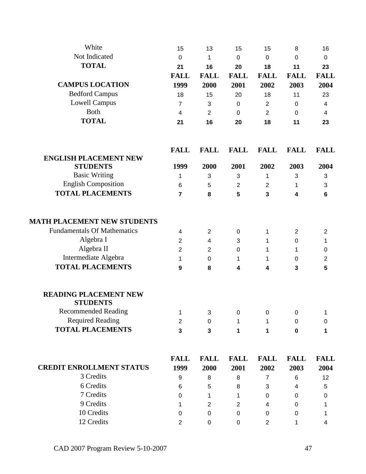| White                              | 15                      | 13               | 15             | 15               | 8                       | 16             |
|------------------------------------|-------------------------|------------------|----------------|------------------|-------------------------|----------------|
| Not Indicated                      | 0                       | 1                | $\mathbf 0$    | $\boldsymbol{0}$ | 0                       | 0              |
| <b>TOTAL</b>                       | 21                      | 16               | 20             | 18               | 11                      | 23             |
|                                    | <b>FALL</b>             | <b>FALL</b>      | <b>FALL</b>    | <b>FALL</b>      | <b>FALL</b>             | <b>FALL</b>    |
| <b>CAMPUS LOCATION</b>             | 1999                    | 2000             | 2001           | 2002             | 2003                    | 2004           |
| <b>Bedford Campus</b>              | 18                      | 15               | 20             | 18               | 11                      | 23             |
| <b>Lowell Campus</b>               | $\overline{7}$          | 3                | $\mathbf 0$    | $\overline{2}$   | 0                       | 4              |
| Both                               | $\overline{4}$          | 2                | 0              | 2                | $\mathbf{0}$            | 4              |
| <b>TOTAL</b>                       | 21                      | 16               | 20             | 18               | 11                      | 23             |
|                                    | <b>FALL</b>             | <b>FALL</b>      | <b>FALL</b>    | <b>FALL</b>      | <b>FALL</b>             | <b>FALL</b>    |
| <b>ENGLISH PLACEMENT NEW</b>       |                         |                  |                |                  |                         |                |
| <b>STUDENTS</b>                    | 1999                    | 2000             | 2001           | 2002             | 2003                    | 2004           |
| <b>Basic Writing</b>               | 1                       | 3                | $\sqrt{3}$     | 1                | 3                       | 3              |
| <b>English Composition</b>         | 6                       | 5                | $\overline{2}$ | $\overline{2}$   | 1                       | 3              |
| <b>TOTAL PLACEMENTS</b>            | $\overline{7}$          | 8                | 5              | 3                | $\overline{\mathbf{4}}$ | $6\phantom{1}$ |
| <b>MATH PLACEMENT NEW STUDENTS</b> |                         |                  |                |                  |                         |                |
| <b>Fundamentals Of Mathematics</b> | 4                       | $\overline{2}$   | 0              | 1                | 2                       | $\overline{2}$ |
| Algebra I                          | $\overline{2}$          | 4                | 3              | 1                | $\mathbf 0$             | 1              |
| Algebra II                         | $\overline{2}$          | $\mathbf{2}$     | 0              | 1                | 1                       | $\pmb{0}$      |
| Intermediate Algebra               | 1                       | 0                | $\mathbf 1$    | 1                | 0                       | $\mathbf{2}$   |
| <b>TOTAL PLACEMENTS</b>            | 9                       | 8                | 4              | 4                | 3                       | 5              |
| <b>READING PLACEMENT NEW</b>       |                         |                  |                |                  |                         |                |
| <b>STUDENTS</b>                    |                         |                  |                |                  |                         |                |
| <b>Recommended Reading</b>         | $\mathbf{1}$            | $\mathbf{3}$     | $\overline{0}$ | $\overline{0}$   | $\pmb{0}$               | 1              |
| <b>Required Reading</b>            | $\overline{2}$          | $\pmb{0}$        | 1              | 1                | 0                       | 0              |
| <b>TOTAL PLACEMENTS</b>            | $\overline{\mathbf{3}}$ | 3                | 1              | 1                | $\mathbf 0$             | 1              |
|                                    | <b>FALL</b>             | <b>FALL</b>      | <b>FALL</b>    | <b>FALL</b>      | <b>FALL</b>             | <b>FALL</b>    |
| <b>CREDIT ENROLLMENT STATUS</b>    | 1999                    | 2000             | 2001           | 2002             | 2003                    | 2004           |
| 3 Credits                          | 9                       | 8                | 8              | 7                | $\,6$                   | 12             |
| 6 Credits                          | 6                       | 5                | 8              | 3                | 4                       | 5              |
| 7 Credits                          | $\Omega$                | 1                | 1              | 0                | 0                       | 0              |
| 9 Credits                          | 1                       | $\overline{2}$   | 2              | 4                | $\Omega$                | 1              |
| 10 Credits                         | 0                       | $\boldsymbol{0}$ | 0              | $\mathbf 0$      | $\boldsymbol{0}$        | 1              |
| 12 Credits                         | $\overline{2}$          | 0                | 0              | $\overline{2}$   | 1                       | 4              |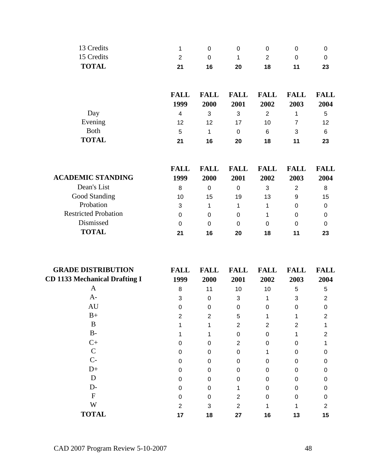| 1           | 0           | 0           | 0           | 0           | 0           |
|-------------|-------------|-------------|-------------|-------------|-------------|
| 2           | 0           | 1           | 2           | 0           | 0           |
| 21          | 16          | 20          | 18          | 11          | 23          |
| <b>FALL</b> | <b>FALL</b> | <b>FALL</b> | <b>FALL</b> | <b>FALL</b> | <b>FALL</b> |
| 1999        | 2000        | 2001        | 2002        | 2003        | 2004        |
| 4           | 3           | 3           | 2           | 1           | 5           |
| 12          | 12          | 17          | 10          | 7           | 12          |
| 5           | 1           | 0           | 6           | 3           | 6           |
|             |             |             |             |             |             |

|                             | <b>FALL</b> | FALL | <b>FALL</b> | <b>FALL</b> | FALL | FALL |
|-----------------------------|-------------|------|-------------|-------------|------|------|
| <b>ACADEMIC STANDING</b>    | 1999        | 2000 | 2001        | 2002        | 2003 | 2004 |
| Dean's List                 | 8           | 0    | 0           | 3           | 2    | 8    |
| Good Standing               | 10          | 15   | 19          | 13          | 9    | 15   |
| Probation                   | 3           |      |             |             | 0    | 0    |
| <b>Restricted Probation</b> | 0           | 0    | 0           |             | 0    | 0    |
| Dismissed                   | 0           | 0    | 0           | 0           | 0    | 0    |
| <b>TOTAL</b>                | 21          | 16   | 20          | 18          | 11   | 23   |

| <b>GRADE DISTRIBUTION</b>            | <b>FALL</b> | <b>FALL</b>    | <b>FALL</b> | <b>FALL</b> | <b>FALL</b> | <b>FALL</b> |
|--------------------------------------|-------------|----------------|-------------|-------------|-------------|-------------|
| <b>CD 1133 Mechanical Drafting I</b> | 1999        | 2000           | 2001        | 2002        | 2003        | 2004        |
| A                                    | 8           | 11             | 10          | 10          | 5           | 5           |
| $A-$                                 | 3           | $\Omega$       | 3           |             | 3           | 2           |
| AU                                   |             | 0              | 0           | $\Omega$    | 0           |             |
| $B+$                                 | 2           | $\overline{2}$ | 5           |             |             | 2           |
| B                                    |             |                | 2           | 2           | 2           |             |
| $B-$                                 |             |                | 0           | 0           |             |             |
| $C+$                                 |             | O              | 2           | $\Omega$    | $\Omega$    |             |
| $\overline{C}$                       |             | O              | 0           |             | 0           |             |
| $C-$                                 |             | O              | U           | 0           | 0           |             |
| $D+$                                 |             | O              | U           | 0           | U           |             |
| D                                    |             | O              | 0           | 0           | O           |             |
| $D-$                                 | O           | 0              |             | $\Omega$    | 0           |             |
| $\boldsymbol{F}$                     |             | O              | 2           | $\Omega$    | U           |             |
| W                                    | 2           | 3              | 2           |             |             | 2           |
| <b>TOTAL</b>                         | 17          | 18             | 27          | 16          | 13          | 15          |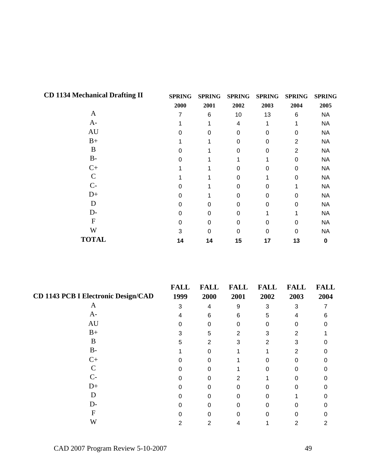| <b>CD 1134 Mechanical Drafting II</b> | <b>SPRING</b> | <b>SPRING</b> | <b>SPRING</b> | <b>SPRING</b> | <b>SPRING</b> | <b>SPRING</b> |
|---------------------------------------|---------------|---------------|---------------|---------------|---------------|---------------|
|                                       | 2000          | 2001          | 2002          | 2003          | 2004          | 2005          |
| A                                     | 7             | 6             | 10            | 13            | 6             | <b>NA</b>     |
| $A-$                                  |               |               | 4             |               |               | <b>NA</b>     |
| AU                                    | U             | 0             | 0             | 0             | 0             | <b>NA</b>     |
| $B+$                                  |               |               | 0             | 0             | 2             | <b>NA</b>     |
| B                                     |               |               | 0             | 0             | 2             | <b>NA</b>     |
| B-                                    | U             |               |               |               | 0             | <b>NA</b>     |
| $C+$                                  |               |               | 0             | 0             | 0             | <b>NA</b>     |
| C                                     |               |               | 0             |               | 0             | <b>NA</b>     |
| $C-$                                  | ი             |               | 0             | 0             |               | <b>NA</b>     |
| $D+$                                  | 0             |               | 0             | 0             | 0             | <b>NA</b>     |
| D                                     | 0             | 0             | 0             | 0             | 0             | <b>NA</b>     |
| $D-$                                  | 0             | 0             | 0             |               |               | <b>NA</b>     |
| $\boldsymbol{F}$                      | 0             | 0             | 0             | 0             | 0             | <b>NA</b>     |
| W                                     | 3             | ი             | 0             | 0             | 0             | <b>NA</b>     |
| <b>TOTAL</b>                          | 14            | 14            | 15            | 17            | 13            | 0             |

|                                            | <b>FALL</b> | <b>FALL</b> | <b>FALL</b> | <b>FALL</b> | <b>FALL</b> | <b>FALL</b> |
|--------------------------------------------|-------------|-------------|-------------|-------------|-------------|-------------|
| <b>CD 1143 PCB I Electronic Design/CAD</b> | 1999        | 2000        | 2001        | 2002        | 2003        | 2004        |
| A                                          | 3           | 4           | 9           | 3           | 3           |             |
| $A-$                                       |             | 6           | 6           | 5           |             | 6           |
| AU                                         |             |             |             |             |             |             |
| $B+$                                       | 3           | 5           | 2           | 3           |             |             |
| B                                          | 5           | 2           | 3           | 2           |             |             |
| $B-$                                       |             |             |             |             |             |             |
| $C+$                                       |             | ი           |             |             | Ω           |             |
|                                            |             |             |             |             |             |             |
| $C-$                                       |             |             |             |             |             |             |
| $D+$                                       |             |             |             |             |             |             |
|                                            |             |             |             |             |             |             |
| D-                                         |             |             |             |             |             |             |
|                                            |             |             |             |             |             |             |
| W                                          |             | 2           |             |             |             |             |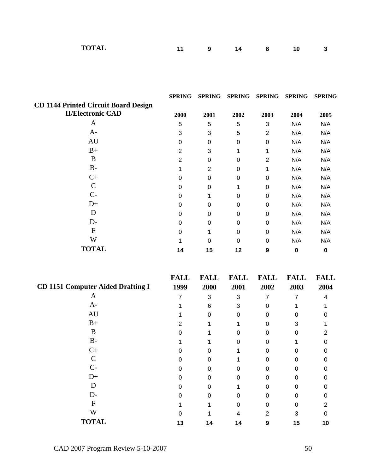| <b>TOTAL</b><br>10 |  |
|--------------------|--|
|--------------------|--|

|                                             | <b>SPRING</b>    | <b>SPRING</b>    | <b>SPRING</b>    | <b>SPRING</b>    | <b>SPRING</b>    | <b>SPRING</b>    |
|---------------------------------------------|------------------|------------------|------------------|------------------|------------------|------------------|
| <b>CD 1144 Printed Circuit Board Design</b> |                  |                  |                  |                  |                  |                  |
| <b>II/Electronic CAD</b>                    | 2000             | 2001             | 2002             | 2003             | 2004             | 2005             |
| $\mathbf{A}$                                | $\sqrt{5}$       | $\mathbf 5$      | 5                | 3                | N/A              | N/A              |
| $A -$                                       | $\mathbf{3}$     | $\sqrt{3}$       | 5                | $\overline{2}$   | N/A              | N/A              |
| AU                                          | $\mathbf 0$      | $\boldsymbol{0}$ | $\pmb{0}$        | $\pmb{0}$        | N/A              | N/A              |
| $B+$                                        | $\sqrt{2}$       | $\sqrt{3}$       | 1                | 1                | N/A              | N/A              |
| B                                           | $\sqrt{2}$       | $\pmb{0}$        | $\mathbf 0$      | $\overline{c}$   | N/A              | N/A              |
| $B-$                                        | 1                | $\overline{2}$   | $\mathbf 0$      | 1                | N/A              | N/A              |
| $C+$                                        | $\pmb{0}$        | $\boldsymbol{0}$ | $\mathbf 0$      | $\pmb{0}$        | N/A              | N/A              |
| $\mathcal{C}$                               | $\pmb{0}$        | $\boldsymbol{0}$ | 1                | $\pmb{0}$        | N/A              | N/A              |
| $C-$                                        | $\boldsymbol{0}$ | 1                | $\mathbf 0$      | 0                | N/A              | N/A              |
| $D+$                                        | 0                | $\boldsymbol{0}$ | $\boldsymbol{0}$ | $\pmb{0}$        | N/A              | N/A              |
| D                                           | $\boldsymbol{0}$ | $\boldsymbol{0}$ | $\mathbf 0$      | 0                | N/A              | N/A              |
| $D-$                                        | $\pmb{0}$        | $\boldsymbol{0}$ | $\pmb{0}$        | $\pmb{0}$        | N/A              | N/A              |
| ${\bf F}$                                   | $\mathbf 0$      | $\mathbf 1$      | 0                | 0                | N/A              | N/A              |
| W                                           | 1                | $\mathbf 0$      | $\pmb{0}$        | 0                | N/A              | N/A              |
| <b>TOTAL</b>                                | 14               | 15               | 12               | 9                | $\pmb{0}$        | $\pmb{0}$        |
|                                             |                  |                  |                  |                  |                  |                  |
|                                             | <b>FALL</b>      | <b>FALL</b>      | <b>FALL</b>      | <b>FALL</b>      | <b>FALL</b>      | <b>FALL</b>      |
| <b>CD 1151 Computer Aided Drafting I</b>    | 1999             | 2000             | 2001             | 2002             | 2003             | 2004             |
| A                                           | $\overline{7}$   | 3                | 3                | $\overline{7}$   | $\overline{7}$   | 4                |
| $A-$                                        | 1                | $\,6$            | 3                | 0                | 1                | 1                |
| AU                                          | 1                | $\pmb{0}$        | 0                | 0                | $\boldsymbol{0}$ | $\pmb{0}$        |
| $B+$                                        | $\overline{2}$   | 1                | 1                | $\boldsymbol{0}$ | 3                | 1                |
| B                                           | $\pmb{0}$        | 1                | $\mathbf 0$      | 0                | $\mathbf 0$      | $\boldsymbol{2}$ |
| $B -$                                       | 1                | 1                | $\boldsymbol{0}$ | $\boldsymbol{0}$ | 1                | $\mathbf 0$      |
| $C+$                                        | 0                | $\boldsymbol{0}$ | 1                | $\mathbf 0$      | $\boldsymbol{0}$ | $\mathbf 0$      |
| $\mathcal{C}$                               | $\pmb{0}$        | $\pmb{0}$        | $\mathbf 1$      | $\pmb{0}$        | $\pmb{0}$        | 0                |
| $C-$                                        | $\mathbf 0$      | $\pmb{0}$        | 0                | $\mathbf 0$      | 0                | 0                |
| $D+$                                        | 0                | $\pmb{0}$        | 0                | 0                | 0                | 0                |
| $\mathbf D$                                 | 0                | $\mathbf 0$      | 1                | 0                | 0                | 0                |
| $D-$                                        | 0                | $\pmb{0}$        | 0                | 0                | 0                | 0                |
| ${\bf F}$                                   | 1                | $\mathbf 1$      | 0                | 0                | 0                | $\overline{c}$   |
| W                                           | $\boldsymbol{0}$ | $\mathbf 1$      | 4                | $\overline{c}$   | 3                | $\mathbf 0$      |
| <b>TOTAL</b>                                | 13               | 14               | 14               | 9                | 15               | 10               |